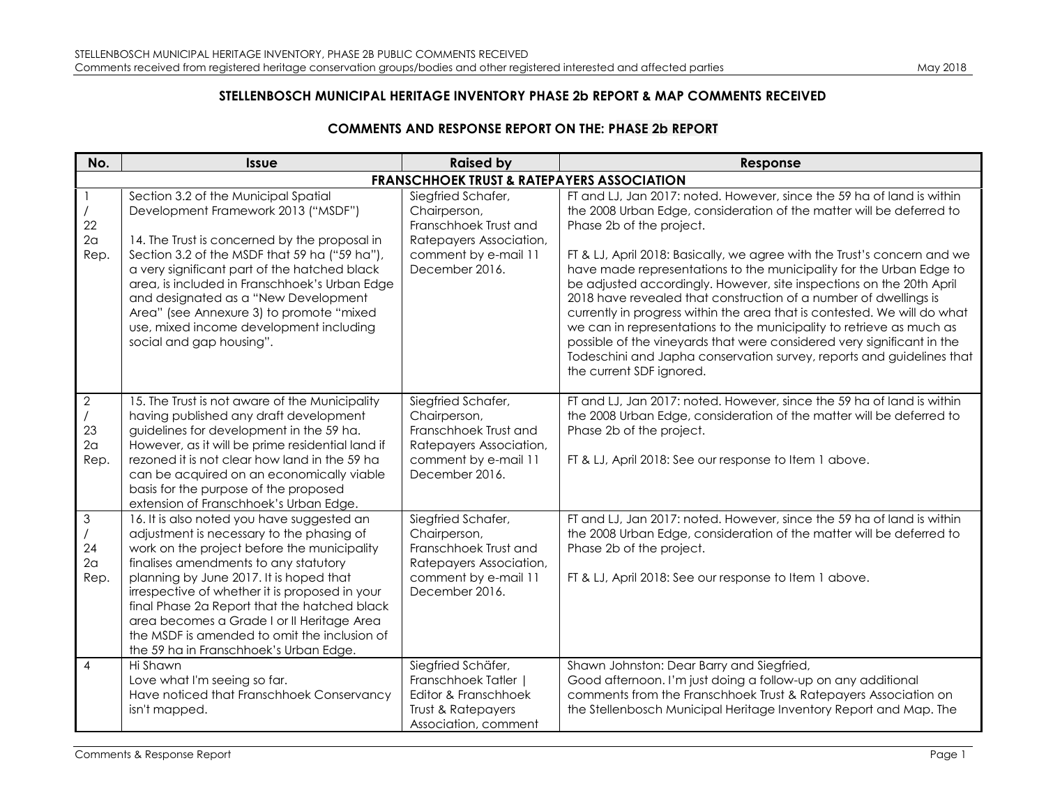## **STELLENBOSCH MUNICIPAL HERITAGE INVENTORY PHASE 2b REPORT & MAP COMMENTS RECEIVED**

## **COMMENTS AND RESPONSE REPORT ON THE: PHASE 2b REPORT**

| No.                                           | <b>Issue</b>                                                                                                                                                                                                                                                                                                                                                                                                                                                         | <b>Raised by</b>                                                                                                                 | Response                                                                                                                                                                                                                                                                                                                                                                                                                                                                                                                                                                                                                                                                                                                                                                                                     |
|-----------------------------------------------|----------------------------------------------------------------------------------------------------------------------------------------------------------------------------------------------------------------------------------------------------------------------------------------------------------------------------------------------------------------------------------------------------------------------------------------------------------------------|----------------------------------------------------------------------------------------------------------------------------------|--------------------------------------------------------------------------------------------------------------------------------------------------------------------------------------------------------------------------------------------------------------------------------------------------------------------------------------------------------------------------------------------------------------------------------------------------------------------------------------------------------------------------------------------------------------------------------------------------------------------------------------------------------------------------------------------------------------------------------------------------------------------------------------------------------------|
|                                               |                                                                                                                                                                                                                                                                                                                                                                                                                                                                      | <b>FRANSCHHOEK TRUST &amp; RATEPAYERS ASSOCIATION</b>                                                                            |                                                                                                                                                                                                                                                                                                                                                                                                                                                                                                                                                                                                                                                                                                                                                                                                              |
| 22<br>2 <sub>a</sub><br>Rep.                  | Section 3.2 of the Municipal Spatial<br>Development Framework 2013 ("MSDF")<br>14. The Trust is concerned by the proposal in<br>Section 3.2 of the MSDF that 59 ha ("59 ha"),<br>a very significant part of the hatched black<br>area, is included in Franschhoek's Urban Edge<br>and designated as a "New Development<br>Area" (see Annexure 3) to promote "mixed<br>use, mixed income development including<br>social and gap housing".                            | Siegfried Schafer,<br>Chairperson,<br>Franschhoek Trust and<br>Ratepayers Association,<br>comment by e-mail 11<br>December 2016. | FT and LJ, Jan 2017: noted. However, since the 59 ha of land is within<br>the 2008 Urban Edge, consideration of the matter will be deferred to<br>Phase 2b of the project.<br>FT & LJ, April 2018: Basically, we agree with the Trust's concern and we<br>have made representations to the municipality for the Urban Edge to<br>be adjusted accordingly. However, site inspections on the 20th April<br>2018 have revealed that construction of a number of dwellings is<br>currently in progress within the area that is contested. We will do what<br>we can in representations to the municipality to retrieve as much as<br>possible of the vineyards that were considered very significant in the<br>Todeschini and Japha conservation survey, reports and guidelines that<br>the current SDF ignored. |
| $\sqrt{2}$<br>23<br>2 <sub>a</sub><br>Rep.    | 15. The Trust is not aware of the Municipality<br>having published any draft development<br>guidelines for development in the 59 ha.<br>However, as it will be prime residential land if<br>rezoned it is not clear how land in the 59 ha<br>can be acquired on an economically viable<br>basis for the purpose of the proposed<br>extension of Franschhoek's Urban Edge.                                                                                            | Siegfried Schafer,<br>Chairperson,<br>Franschhoek Trust and<br>Ratepayers Association,<br>comment by e-mail 11<br>December 2016. | FT and LJ, Jan 2017: noted. However, since the 59 ha of land is within<br>the 2008 Urban Edge, consideration of the matter will be deferred to<br>Phase 2b of the project.<br>FT & LJ, April 2018: See our response to Item 1 above.                                                                                                                                                                                                                                                                                                                                                                                                                                                                                                                                                                         |
| $\mathfrak 3$<br>24<br>2 <sub>a</sub><br>Rep. | 16. It is also noted you have suggested an<br>adjustment is necessary to the phasing of<br>work on the project before the municipality<br>finalises amendments to any statutory<br>planning by June 2017. It is hoped that<br>irrespective of whether it is proposed in your<br>final Phase 2a Report that the hatched black<br>area becomes a Grade I or II Heritage Area<br>the MSDF is amended to omit the inclusion of<br>the 59 ha in Franschhoek's Urban Edge. | Siegfried Schafer,<br>Chairperson,<br>Franschhoek Trust and<br>Ratepayers Association,<br>comment by e-mail 11<br>December 2016. | FT and LJ, Jan 2017: noted. However, since the 59 ha of land is within<br>the 2008 Urban Edge, consideration of the matter will be deferred to<br>Phase 2b of the project.<br>FT & LJ, April 2018: See our response to Item 1 above.                                                                                                                                                                                                                                                                                                                                                                                                                                                                                                                                                                         |
| $\overline{4}$                                | Hi Shawn<br>Love what I'm seeing so far.<br>Have noticed that Franschhoek Conservancy<br>isn't mapped.                                                                                                                                                                                                                                                                                                                                                               | Siegfried Schäfer,<br>Franschhoek Tatler  <br>Editor & Franschhoek<br>Trust & Ratepayers<br>Association, comment                 | Shawn Johnston: Dear Barry and Siegfried,<br>Good afternoon. I'm just doing a follow-up on any additional<br>comments from the Franschhoek Trust & Ratepayers Association on<br>the Stellenbosch Municipal Heritage Inventory Report and Map. The                                                                                                                                                                                                                                                                                                                                                                                                                                                                                                                                                            |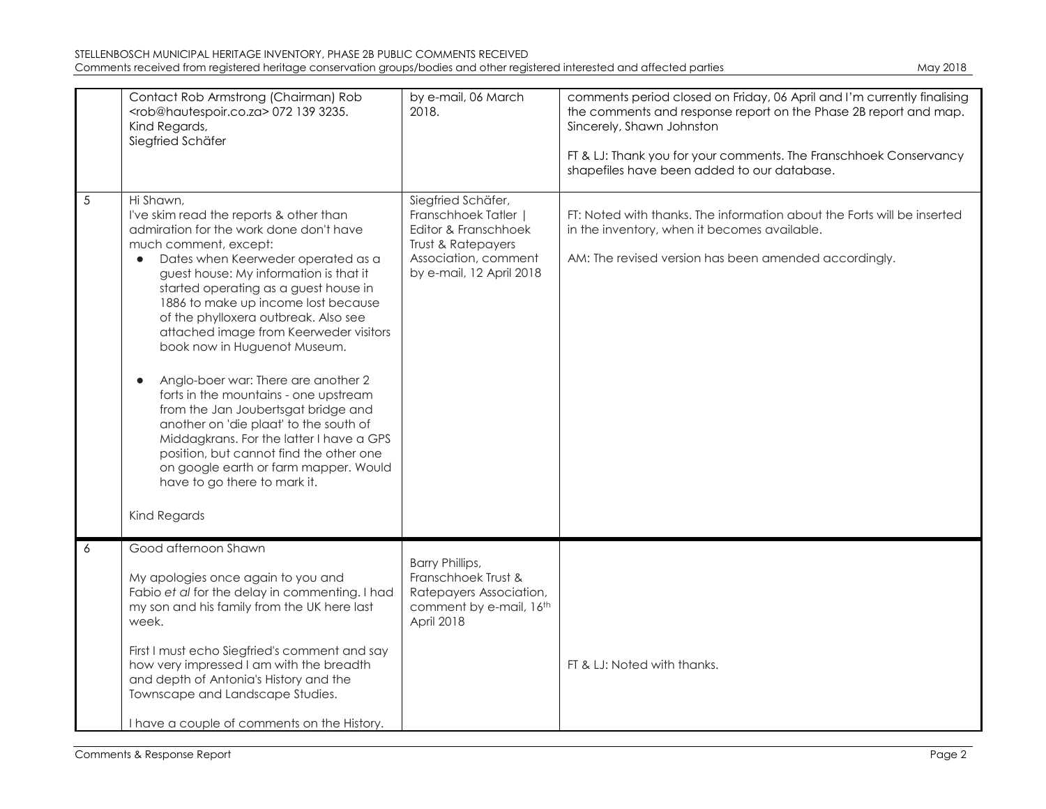| STELLENBOSCH MUNICIPAL HERITAGE INVENTORY, PHASE 2B PUBLIC COMMENTS RECEIVED                                               |          |
|----------------------------------------------------------------------------------------------------------------------------|----------|
| Comments received from registered heritage conservation groups/bodies and other registered interested and affected parties | May 2018 |

|   | Contact Rob Armstrong (Chairman) Rob<br><rob@hautespoir.co.za> 072 139 3235.<br/>Kind Regards,<br/>Siegfried Schäfer</rob@hautespoir.co.za>                                                                                                                                                                                                                                                                                                                                                                                                                                                                                                                                                                                                                                           | by e-mail, 06 March<br>2018.                                                                                                               | comments period closed on Friday, 06 April and I'm currently finalising<br>the comments and response report on the Phase 2B report and map.<br>Sincerely, Shawn Johnston<br>FT & LJ: Thank you for your comments. The Franschhoek Conservancy<br>shapefiles have been added to our database. |
|---|---------------------------------------------------------------------------------------------------------------------------------------------------------------------------------------------------------------------------------------------------------------------------------------------------------------------------------------------------------------------------------------------------------------------------------------------------------------------------------------------------------------------------------------------------------------------------------------------------------------------------------------------------------------------------------------------------------------------------------------------------------------------------------------|--------------------------------------------------------------------------------------------------------------------------------------------|----------------------------------------------------------------------------------------------------------------------------------------------------------------------------------------------------------------------------------------------------------------------------------------------|
| 5 | Hi Shawn,<br>I've skim read the reports & other than<br>admiration for the work done don't have<br>much comment, except:<br>Dates when Keerweder operated as a<br>$\bullet$<br>guest house: My information is that it<br>started operating as a guest house in<br>1886 to make up income lost because<br>of the phylloxera outbreak. Also see<br>attached image from Keerweder visitors<br>book now in Huguenot Museum.<br>Anglo-boer war: There are another 2<br>$\bullet$<br>forts in the mountains - one upstream<br>from the Jan Joubertsgat bridge and<br>another on 'die plaat' to the south of<br>Middagkrans. For the latter I have a GPS<br>position, but cannot find the other one<br>on google earth or farm mapper. Would<br>have to go there to mark it.<br>Kind Regards | Siegfried Schäfer,<br>Franschhoek Tatler<br>Editor & Franschhoek<br>Trust & Ratepayers<br>Association, comment<br>by e-mail, 12 April 2018 | FT: Noted with thanks. The information about the Forts will be inserted<br>in the inventory, when it becomes available.<br>AM: The revised version has been amended accordingly.                                                                                                             |
| 6 | Good afternoon Shawn                                                                                                                                                                                                                                                                                                                                                                                                                                                                                                                                                                                                                                                                                                                                                                  |                                                                                                                                            |                                                                                                                                                                                                                                                                                              |
|   | My apologies once again to you and<br>Fabio et al for the delay in commenting. I had<br>my son and his family from the UK here last<br>week.                                                                                                                                                                                                                                                                                                                                                                                                                                                                                                                                                                                                                                          | <b>Barry Phillips,</b><br>Franschhoek Trust &<br>Ratepayers Association,<br>comment by e-mail, 16th<br>April 2018                          |                                                                                                                                                                                                                                                                                              |
|   | First I must echo Siegfried's comment and say<br>how very impressed I am with the breadth<br>and depth of Antonia's History and the<br>Townscape and Landscape Studies.                                                                                                                                                                                                                                                                                                                                                                                                                                                                                                                                                                                                               |                                                                                                                                            | FT & LJ: Noted with thanks.                                                                                                                                                                                                                                                                  |
|   | I have a couple of comments on the History.                                                                                                                                                                                                                                                                                                                                                                                                                                                                                                                                                                                                                                                                                                                                           |                                                                                                                                            |                                                                                                                                                                                                                                                                                              |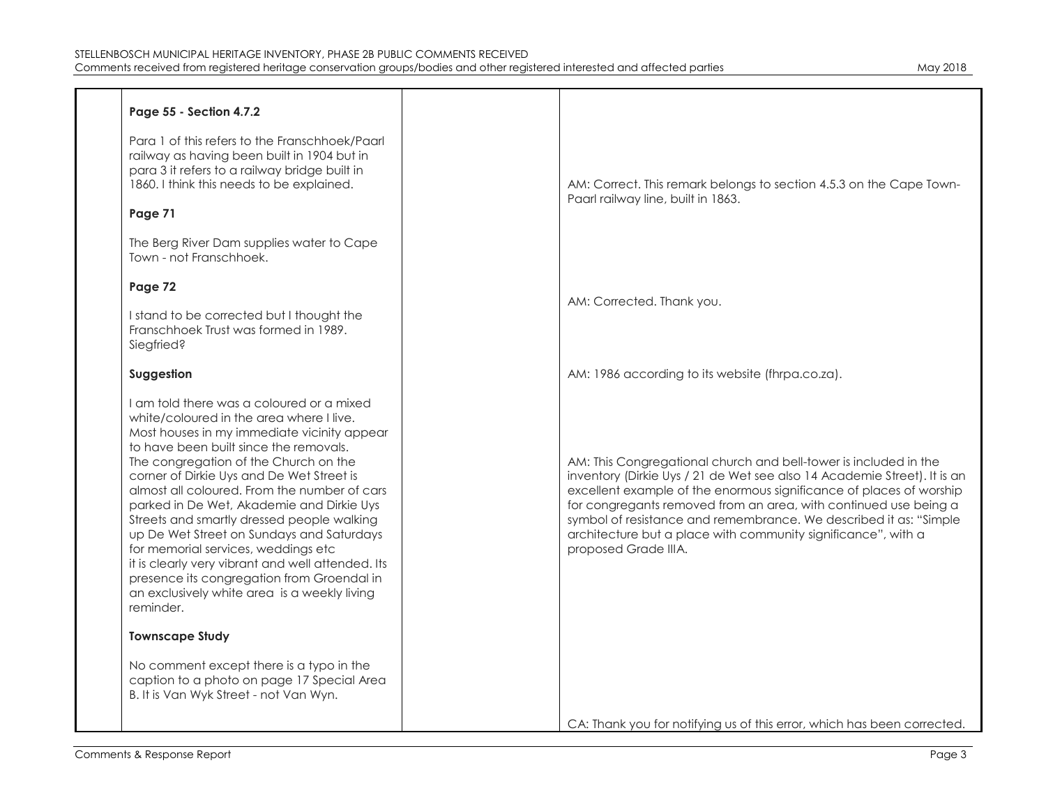| Page 55 - Section 4.7.2                                                                                                                                                                                                                                                                                                                                                                                                                                                                                                                                                                                                                                             |                                                                                                                                                                                                                                                                                                                                                                                                                                                       |
|---------------------------------------------------------------------------------------------------------------------------------------------------------------------------------------------------------------------------------------------------------------------------------------------------------------------------------------------------------------------------------------------------------------------------------------------------------------------------------------------------------------------------------------------------------------------------------------------------------------------------------------------------------------------|-------------------------------------------------------------------------------------------------------------------------------------------------------------------------------------------------------------------------------------------------------------------------------------------------------------------------------------------------------------------------------------------------------------------------------------------------------|
| Para 1 of this refers to the Franschhoek/Paarl<br>railway as having been built in 1904 but in<br>para 3 it refers to a railway bridge built in<br>1860. I think this needs to be explained.<br>Page 71                                                                                                                                                                                                                                                                                                                                                                                                                                                              | AM: Correct. This remark belongs to section 4.5.3 on the Cape Town-<br>Paarl railway line, built in 1863.                                                                                                                                                                                                                                                                                                                                             |
|                                                                                                                                                                                                                                                                                                                                                                                                                                                                                                                                                                                                                                                                     |                                                                                                                                                                                                                                                                                                                                                                                                                                                       |
| The Berg River Dam supplies water to Cape<br>Town - not Franschhoek.                                                                                                                                                                                                                                                                                                                                                                                                                                                                                                                                                                                                |                                                                                                                                                                                                                                                                                                                                                                                                                                                       |
| Page 72                                                                                                                                                                                                                                                                                                                                                                                                                                                                                                                                                                                                                                                             |                                                                                                                                                                                                                                                                                                                                                                                                                                                       |
|                                                                                                                                                                                                                                                                                                                                                                                                                                                                                                                                                                                                                                                                     | AM: Corrected. Thank you.                                                                                                                                                                                                                                                                                                                                                                                                                             |
| I stand to be corrected but I thought the<br>Franschhoek Trust was formed in 1989.<br>Siegfried?                                                                                                                                                                                                                                                                                                                                                                                                                                                                                                                                                                    |                                                                                                                                                                                                                                                                                                                                                                                                                                                       |
| Suggestion                                                                                                                                                                                                                                                                                                                                                                                                                                                                                                                                                                                                                                                          | AM: 1986 according to its website (fhrpa.co.za).                                                                                                                                                                                                                                                                                                                                                                                                      |
| I am told there was a coloured or a mixed<br>white/coloured in the area where I live.<br>Most houses in my immediate vicinity appear<br>to have been built since the removals.<br>The congregation of the Church on the<br>corner of Dirkie Uys and De Wet Street is<br>almost all coloured. From the number of cars<br>parked in De Wet, Akademie and Dirkie Uys<br>Streets and smartly dressed people walking<br>up De Wet Street on Sundays and Saturdays<br>for memorial services, weddings etc<br>it is clearly very vibrant and well attended. Its<br>presence its congregation from Groendal in<br>an exclusively white area is a weekly living<br>reminder. | AM: This Congregational church and bell-tower is included in the<br>inventory (Dirkie Uys / 21 de Wet see also 14 Academie Street). It is an<br>excellent example of the enormous significance of places of worship<br>for congregants removed from an area, with continued use being a<br>symbol of resistance and remembrance. We described it as: "Simple<br>architecture but a place with community significance", with a<br>proposed Grade IIIA. |
| <b>Townscape Study</b>                                                                                                                                                                                                                                                                                                                                                                                                                                                                                                                                                                                                                                              |                                                                                                                                                                                                                                                                                                                                                                                                                                                       |
| No comment except there is a typo in the<br>caption to a photo on page 17 Special Area<br>B. It is Van Wyk Street - not Van Wyn.                                                                                                                                                                                                                                                                                                                                                                                                                                                                                                                                    |                                                                                                                                                                                                                                                                                                                                                                                                                                                       |
|                                                                                                                                                                                                                                                                                                                                                                                                                                                                                                                                                                                                                                                                     | CA: Thank you for notifying us of this error, which has been corrected.                                                                                                                                                                                                                                                                                                                                                                               |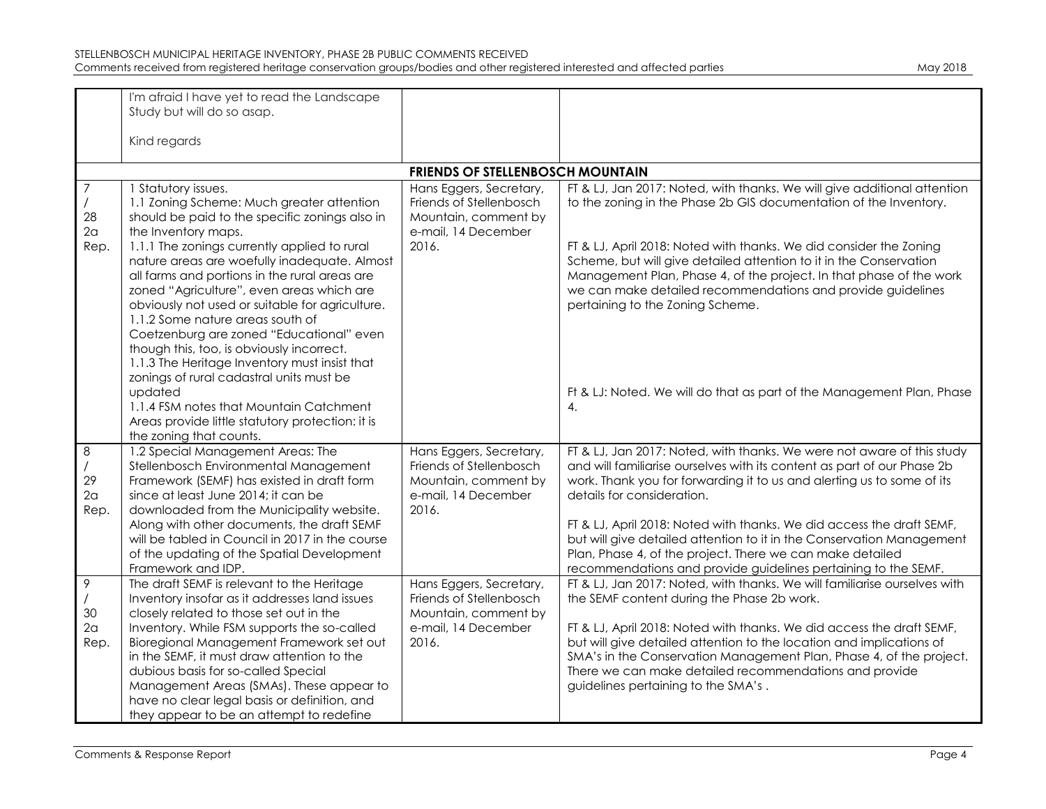|                  | I'm afraid I have yet to read the Landscape                                                   |                                         |                                                                                                                                             |
|------------------|-----------------------------------------------------------------------------------------------|-----------------------------------------|---------------------------------------------------------------------------------------------------------------------------------------------|
|                  | Study but will do so asap.                                                                    |                                         |                                                                                                                                             |
|                  |                                                                                               |                                         |                                                                                                                                             |
|                  | Kind regards                                                                                  |                                         |                                                                                                                                             |
|                  |                                                                                               | <b>FRIENDS OF STELLENBOSCH MOUNTAIN</b> |                                                                                                                                             |
| $\boldsymbol{7}$ | 1 Statutory issues.                                                                           | Hans Eggers, Secretary,                 | FT & LJ, Jan 2017: Noted, with thanks. We will give additional attention                                                                    |
|                  | 1.1 Zoning Scheme: Much greater attention                                                     | Friends of Stellenbosch                 | to the zoning in the Phase 2b GIS documentation of the Inventory.                                                                           |
| 28               | should be paid to the specific zonings also in                                                | Mountain, comment by                    |                                                                                                                                             |
| 2a               | the Inventory maps.                                                                           | e-mail, 14 December<br>2016.            |                                                                                                                                             |
| Rep.             | 1.1.1 The zonings currently applied to rural<br>nature areas are woefully inadequate. Almost  |                                         | FT & LJ, April 2018: Noted with thanks. We did consider the Zoning<br>Scheme, but will give detailed attention to it in the Conservation    |
|                  | all farms and portions in the rural areas are                                                 |                                         | Management Plan, Phase 4, of the project. In that phase of the work                                                                         |
|                  | zoned "Agriculture", even areas which are                                                     |                                         | we can make detailed recommendations and provide guidelines                                                                                 |
|                  | obviously not used or suitable for agriculture.                                               |                                         | pertaining to the Zoning Scheme.                                                                                                            |
|                  | 1.1.2 Some nature areas south of                                                              |                                         |                                                                                                                                             |
|                  | Coetzenburg are zoned "Educational" even<br>though this, too, is obviously incorrect.         |                                         |                                                                                                                                             |
|                  | 1.1.3 The Heritage Inventory must insist that                                                 |                                         |                                                                                                                                             |
|                  | zonings of rural cadastral units must be                                                      |                                         |                                                                                                                                             |
|                  | updated                                                                                       |                                         | Ft & LJ: Noted. We will do that as part of the Management Plan, Phase                                                                       |
|                  | 1.1.4 FSM notes that Mountain Catchment                                                       |                                         | 4.                                                                                                                                          |
|                  | Areas provide little statutory protection: it is                                              |                                         |                                                                                                                                             |
| 8                | the zoning that counts.<br>1.2 Special Management Areas: The                                  | Hans Eggers, Secretary,                 | FT & LJ, Jan 2017: Noted, with thanks. We were not aware of this study                                                                      |
|                  | Stellenbosch Environmental Management                                                         | Friends of Stellenbosch                 | and will familiarise ourselves with its content as part of our Phase 2b                                                                     |
| 29               | Framework (SEMF) has existed in draft form                                                    | Mountain, comment by                    | work. Thank you for forwarding it to us and alerting us to some of its                                                                      |
| 2a               | since at least June 2014; it can be                                                           | e-mail, 14 December                     | details for consideration.                                                                                                                  |
| Rep.             | downloaded from the Municipality website.                                                     | 2016.                                   |                                                                                                                                             |
|                  | Along with other documents, the draft SEMF                                                    |                                         | FT & LJ, April 2018: Noted with thanks. We did access the draft SEMF,                                                                       |
|                  | will be tabled in Council in 2017 in the course<br>of the updating of the Spatial Development |                                         | but will give detailed attention to it in the Conservation Management<br>Plan, Phase 4, of the project. There we can make detailed          |
|                  | Framework and IDP.                                                                            |                                         | recommendations and provide guidelines pertaining to the SEMF.                                                                              |
| 9                | The draft SEMF is relevant to the Heritage                                                    | Hans Eggers, Secretary,                 | FT & LJ, Jan 2017: Noted, with thanks. We will familiarise ourselves with                                                                   |
|                  | Inventory insofar as it addresses land issues                                                 | Friends of Stellenbosch                 | the SEMF content during the Phase 2b work.                                                                                                  |
| 30               | closely related to those set out in the                                                       | Mountain, comment by                    |                                                                                                                                             |
| 2a               | Inventory. While FSM supports the so-called                                                   | e-mail, 14 December                     | FT & LJ, April 2018: Noted with thanks. We did access the draft SEMF,                                                                       |
| Rep.             | Bioregional Management Framework set out<br>in the SEMF, it must draw attention to the        | 2016.                                   | but will give detailed attention to the location and implications of<br>SMA's in the Conservation Management Plan, Phase 4, of the project. |
|                  | dubious basis for so-called Special                                                           |                                         | There we can make detailed recommendations and provide                                                                                      |
|                  | Management Areas (SMAs). These appear to                                                      |                                         | guidelines pertaining to the SMA's.                                                                                                         |
|                  | have no clear legal basis or definition, and                                                  |                                         |                                                                                                                                             |
|                  | they appear to be an attempt to redefine                                                      |                                         |                                                                                                                                             |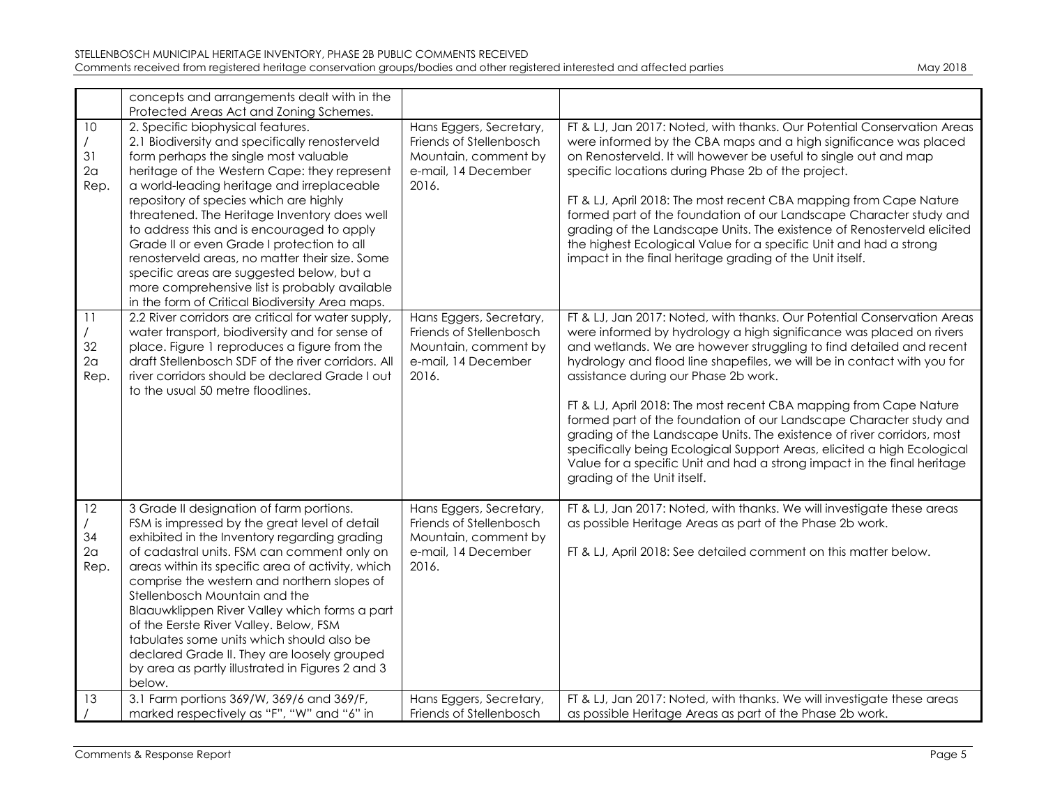|                                    | concepts and arrangements dealt with in the<br>Protected Areas Act and Zoning Schemes.                                                                                                                                                                                                                                                                                                                                                                                                                                                                                                                              |                                                                                                            |                                                                                                                                                                                                                                                                                                                                                                                                                                                                                                                                                                                                                                                                                                                                                    |
|------------------------------------|---------------------------------------------------------------------------------------------------------------------------------------------------------------------------------------------------------------------------------------------------------------------------------------------------------------------------------------------------------------------------------------------------------------------------------------------------------------------------------------------------------------------------------------------------------------------------------------------------------------------|------------------------------------------------------------------------------------------------------------|----------------------------------------------------------------------------------------------------------------------------------------------------------------------------------------------------------------------------------------------------------------------------------------------------------------------------------------------------------------------------------------------------------------------------------------------------------------------------------------------------------------------------------------------------------------------------------------------------------------------------------------------------------------------------------------------------------------------------------------------------|
| 10<br>31<br>2 <sub>a</sub><br>Rep. | 2. Specific biophysical features.<br>2.1 Biodiversity and specifically renosterveld<br>form perhaps the single most valuable<br>heritage of the Western Cape: they represent<br>a world-leading heritage and irreplaceable<br>repository of species which are highly<br>threatened. The Heritage Inventory does well<br>to address this and is encouraged to apply<br>Grade II or even Grade I protection to all<br>renosterveld areas, no matter their size. Some<br>specific areas are suggested below, but a<br>more comprehensive list is probably available<br>in the form of Critical Biodiversity Area maps. | Hans Eggers, Secretary,<br>Friends of Stellenbosch<br>Mountain, comment by<br>e-mail, 14 December<br>2016. | FT & LJ, Jan 2017: Noted, with thanks. Our Potential Conservation Areas<br>were informed by the CBA maps and a high significance was placed<br>on Renosterveld. It will however be useful to single out and map<br>specific locations during Phase 2b of the project.<br>FT & LJ, April 2018: The most recent CBA mapping from Cape Nature<br>formed part of the foundation of our Landscape Character study and<br>grading of the Landscape Units. The existence of Renosterveld elicited<br>the highest Ecological Value for a specific Unit and had a strong<br>impact in the final heritage grading of the Unit itself.                                                                                                                        |
| 11<br>32<br>2 <sub>a</sub><br>Rep. | 2.2 River corridors are critical for water supply,<br>water transport, biodiversity and for sense of<br>place. Figure 1 reproduces a figure from the<br>draft Stellenbosch SDF of the river corridors. All<br>river corridors should be declared Grade I out<br>to the usual 50 metre floodlines.                                                                                                                                                                                                                                                                                                                   | Hans Eggers, Secretary,<br>Friends of Stellenbosch<br>Mountain, comment by<br>e-mail, 14 December<br>2016. | FT & LJ, Jan 2017: Noted, with thanks. Our Potential Conservation Areas<br>were informed by hydrology a high significance was placed on rivers<br>and wetlands. We are however struggling to find detailed and recent<br>hydrology and flood line shapefiles, we will be in contact with you for<br>assistance during our Phase 2b work.<br>FT & LJ, April 2018: The most recent CBA mapping from Cape Nature<br>formed part of the foundation of our Landscape Character study and<br>grading of the Landscape Units. The existence of river corridors, most<br>specifically being Ecological Support Areas, elicited a high Ecological<br>Value for a specific Unit and had a strong impact in the final heritage<br>grading of the Unit itself. |
| 12<br>34<br>2a<br>Rep.             | 3 Grade II designation of farm portions.<br>FSM is impressed by the great level of detail<br>exhibited in the Inventory regarding grading<br>of cadastral units. FSM can comment only on<br>areas within its specific area of activity, which<br>comprise the western and northern slopes of<br>Stellenbosch Mountain and the<br>Blaauwklippen River Valley which forms a part<br>of the Eerste River Valley. Below, FSM<br>tabulates some units which should also be<br>declared Grade II. They are loosely grouped<br>by area as partly illustrated in Figures 2 and 3<br>below.                                  | Hans Eggers, Secretary,<br>Friends of Stellenbosch<br>Mountain, comment by<br>e-mail, 14 December<br>2016. | FT & LJ, Jan 2017: Noted, with thanks. We will investigate these areas<br>as possible Heritage Areas as part of the Phase 2b work.<br>FT & LJ, April 2018: See detailed comment on this matter below.                                                                                                                                                                                                                                                                                                                                                                                                                                                                                                                                              |
| 13                                 | 3.1 Farm portions 369/W, 369/6 and 369/F,<br>marked respectively as "F", "W" and "6" in                                                                                                                                                                                                                                                                                                                                                                                                                                                                                                                             | Hans Eggers, Secretary,<br>Friends of Stellenbosch                                                         | FT & LJ, Jan 2017: Noted, with thanks. We will investigate these areas<br>as possible Heritage Areas as part of the Phase 2b work.                                                                                                                                                                                                                                                                                                                                                                                                                                                                                                                                                                                                                 |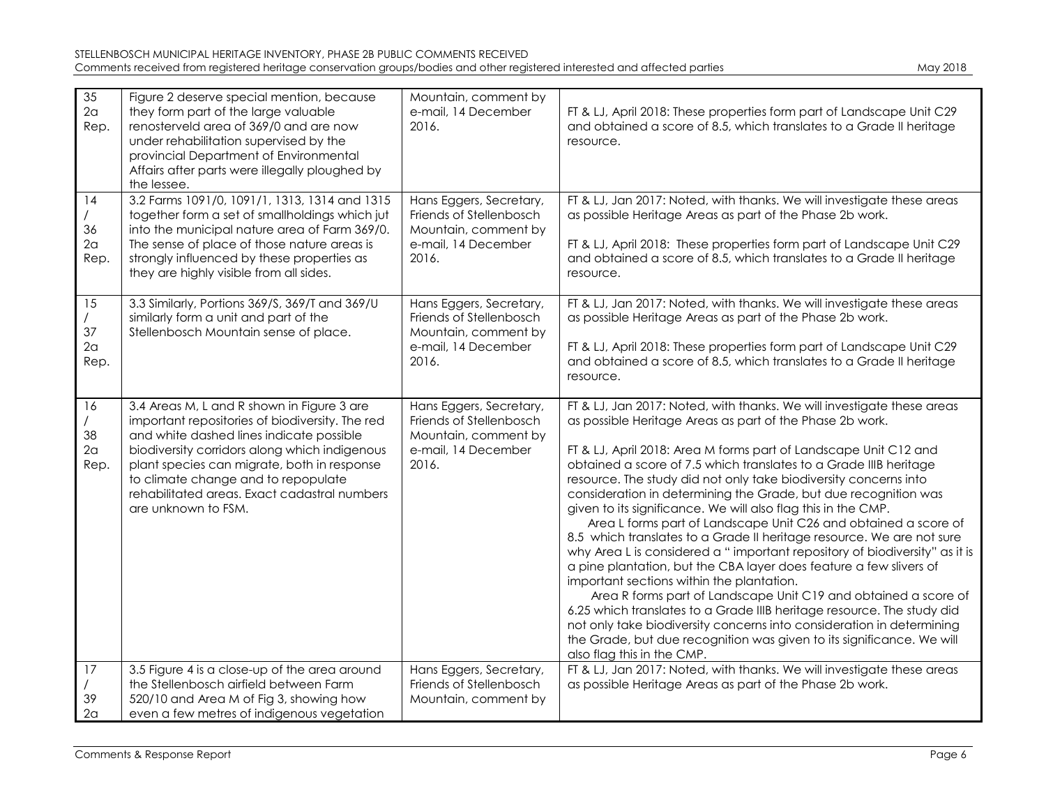| 35<br>2a<br>Rep.                   | Figure 2 deserve special mention, because<br>they form part of the large valuable<br>renosterveld area of 369/0 and are now<br>under rehabilitation supervised by the<br>provincial Department of Environmental<br>Affairs after parts were illegally ploughed by<br>the lessee.                                                                        | Mountain, comment by<br>e-mail, 14 December<br>2016.                                                       | FT & LJ, April 2018: These properties form part of Landscape Unit C29<br>and obtained a score of 8.5, which translates to a Grade II heritage<br>resource.                                                                                                                                                                                                                                                                                                                                                                                                                                                                                                                                                                                                                                                                                                                                                                                                                                                                                                                                                                                                    |
|------------------------------------|---------------------------------------------------------------------------------------------------------------------------------------------------------------------------------------------------------------------------------------------------------------------------------------------------------------------------------------------------------|------------------------------------------------------------------------------------------------------------|---------------------------------------------------------------------------------------------------------------------------------------------------------------------------------------------------------------------------------------------------------------------------------------------------------------------------------------------------------------------------------------------------------------------------------------------------------------------------------------------------------------------------------------------------------------------------------------------------------------------------------------------------------------------------------------------------------------------------------------------------------------------------------------------------------------------------------------------------------------------------------------------------------------------------------------------------------------------------------------------------------------------------------------------------------------------------------------------------------------------------------------------------------------|
| 14<br>36<br>2a<br>Rep.             | 3.2 Farms 1091/0, 1091/1, 1313, 1314 and 1315<br>together form a set of smallholdings which jut<br>into the municipal nature area of Farm 369/0.<br>The sense of place of those nature areas is<br>strongly influenced by these properties as<br>they are highly visible from all sides.                                                                | Hans Eggers, Secretary,<br>Friends of Stellenbosch<br>Mountain, comment by<br>e-mail, 14 December<br>2016. | FT & LJ, Jan 2017: Noted, with thanks. We will investigate these areas<br>as possible Heritage Areas as part of the Phase 2b work.<br>FT & LJ, April 2018: These properties form part of Landscape Unit C29<br>and obtained a score of 8.5, which translates to a Grade II heritage<br>resource.                                                                                                                                                                                                                                                                                                                                                                                                                                                                                                                                                                                                                                                                                                                                                                                                                                                              |
| 15<br>37<br>2a<br>Rep.             | 3.3 Similarly, Portions 369/S, 369/T and 369/U<br>similarly form a unit and part of the<br>Stellenbosch Mountain sense of place.                                                                                                                                                                                                                        | Hans Eggers, Secretary,<br>Friends of Stellenbosch<br>Mountain, comment by<br>e-mail, 14 December<br>2016. | FT & LJ, Jan 2017: Noted, with thanks. We will investigate these areas<br>as possible Heritage Areas as part of the Phase 2b work.<br>FT & LJ, April 2018: These properties form part of Landscape Unit C29<br>and obtained a score of 8.5, which translates to a Grade II heritage<br>resource.                                                                                                                                                                                                                                                                                                                                                                                                                                                                                                                                                                                                                                                                                                                                                                                                                                                              |
| 16<br>38<br>2 <sub>a</sub><br>Rep. | 3.4 Areas M, L and R shown in Figure 3 are<br>important repositories of biodiversity. The red<br>and white dashed lines indicate possible<br>biodiversity corridors along which indigenous<br>plant species can migrate, both in response<br>to climate change and to repopulate<br>rehabilitated areas. Exact cadastral numbers<br>are unknown to FSM. | Hans Eggers, Secretary,<br>Friends of Stellenbosch<br>Mountain, comment by<br>e-mail, 14 December<br>2016. | FT & LJ, Jan 2017: Noted, with thanks. We will investigate these areas<br>as possible Heritage Areas as part of the Phase 2b work.<br>FT & LJ, April 2018: Area M forms part of Landscape Unit C12 and<br>obtained a score of 7.5 which translates to a Grade IIIB heritage<br>resource. The study did not only take biodiversity concerns into<br>consideration in determining the Grade, but due recognition was<br>given to its significance. We will also flag this in the CMP.<br>Area L forms part of Landscape Unit C26 and obtained a score of<br>8.5 which translates to a Grade II heritage resource. We are not sure<br>why Area L is considered a "important repository of biodiversity" as it is<br>a pine plantation, but the CBA layer does feature a few slivers of<br>important sections within the plantation.<br>Area R forms part of Landscape Unit C19 and obtained a score of<br>6.25 which translates to a Grade IIIB heritage resource. The study did<br>not only take biodiversity concerns into consideration in determining<br>the Grade, but due recognition was given to its significance. We will<br>also flag this in the CMP. |
| 17<br>39<br>2 <sub>a</sub>         | 3.5 Figure 4 is a close-up of the area around<br>the Stellenbosch airfield between Farm<br>520/10 and Area M of Fig 3, showing how<br>even a few metres of indigenous vegetation                                                                                                                                                                        | Hans Eggers, Secretary,<br>Friends of Stellenbosch<br>Mountain, comment by                                 | FT & LJ, Jan 2017: Noted, with thanks. We will investigate these areas<br>as possible Heritage Areas as part of the Phase 2b work.                                                                                                                                                                                                                                                                                                                                                                                                                                                                                                                                                                                                                                                                                                                                                                                                                                                                                                                                                                                                                            |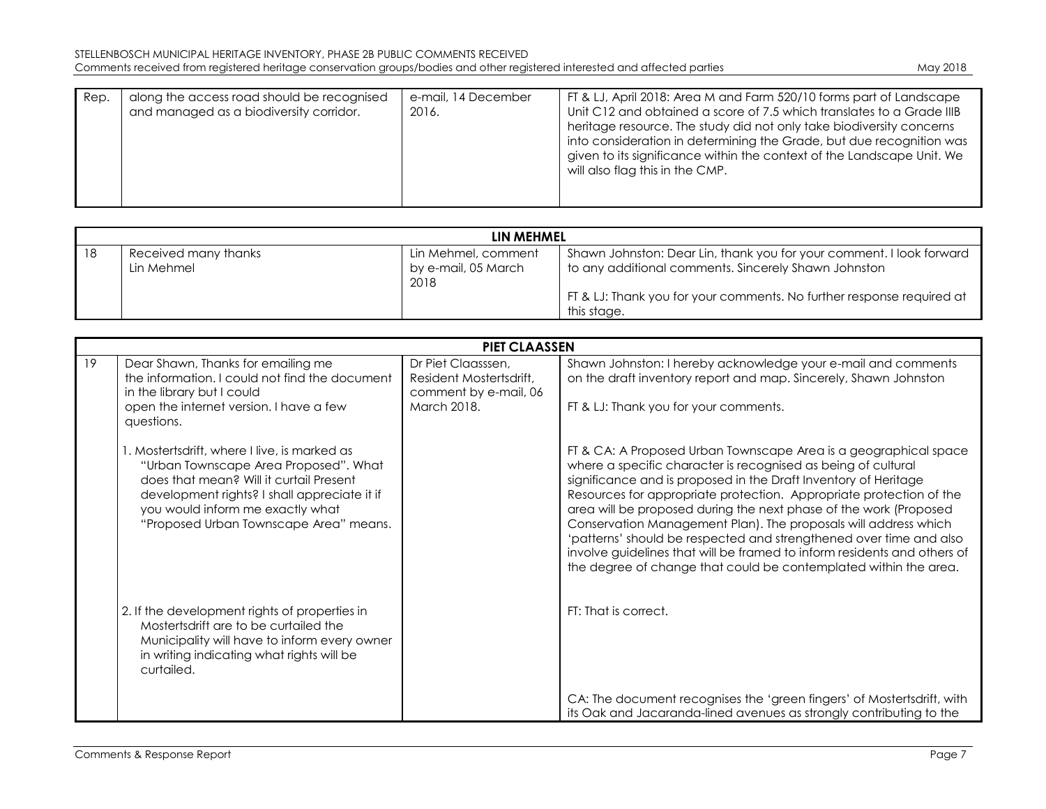| Rep. | along the access road should be recognised<br>and managed as a biodiversity corridor. | e-mail, 14 December<br>2016. | FT & LJ, April 2018: Area M and Farm 520/10 forms part of Landscape<br>Unit C12 and obtained a score of 7.5 which translates to a Grade IIIB<br>heritage resource. The study did not only take biodiversity concerns<br>into consideration in determining the Grade, but due recognition was |
|------|---------------------------------------------------------------------------------------|------------------------------|----------------------------------------------------------------------------------------------------------------------------------------------------------------------------------------------------------------------------------------------------------------------------------------------|
|      |                                                                                       |                              | given to its significance within the context of the Landscape Unit. We<br>will also flag this in the CMP.                                                                                                                                                                                    |

|    |                                    | LIN MEHMEL                                         |                                                                                                                              |
|----|------------------------------------|----------------------------------------------------|------------------------------------------------------------------------------------------------------------------------------|
| 18 | Received many thanks<br>Lin Mehmel | Lin Mehmel, comment<br>by e-mail, 05 March<br>2018 | Shawn Johnston: Dear Lin, thank you for your comment. I look forward<br>to any additional comments. Sincerely Shawn Johnston |
|    |                                    |                                                    | FT & LJ: Thank you for your comments. No further response required at<br>this stage.                                         |

|    |                                                                                                                                                                                                                                                               | <b>PIET CLAASSEN</b>                                                                  |                                                                                                                                                                                                                                                                                                                                                                                                                                                                                                                                                                                                                                           |
|----|---------------------------------------------------------------------------------------------------------------------------------------------------------------------------------------------------------------------------------------------------------------|---------------------------------------------------------------------------------------|-------------------------------------------------------------------------------------------------------------------------------------------------------------------------------------------------------------------------------------------------------------------------------------------------------------------------------------------------------------------------------------------------------------------------------------------------------------------------------------------------------------------------------------------------------------------------------------------------------------------------------------------|
| 19 | Dear Shawn, Thanks for emailing me<br>the information. I could not find the document<br>in the library but I could<br>open the internet version. I have a few<br>questions.                                                                                   | Dr Piet Claasssen,<br>Resident Mostertsdrift,<br>comment by e-mail, 06<br>March 2018. | Shawn Johnston: I hereby acknowledge your e-mail and comments<br>on the draft inventory report and map. Sincerely, Shawn Johnston<br>FT & LJ: Thank you for your comments.                                                                                                                                                                                                                                                                                                                                                                                                                                                                |
|    | . Mostertsdrift, where I live, is marked as<br>"Urban Townscape Area Proposed". What<br>does that mean? Will it curtail Present<br>development rights? I shall appreciate it if<br>you would inform me exactly what<br>"Proposed Urban Townscape Area" means. |                                                                                       | FT & CA: A Proposed Urban Townscape Area is a geographical space<br>where a specific character is recognised as being of cultural<br>significance and is proposed in the Draft Inventory of Heritage<br>Resources for appropriate protection. Appropriate protection of the<br>area will be proposed during the next phase of the work (Proposed<br>Conservation Management Plan). The proposals will address which<br>'patterns' should be respected and strengthened over time and also<br>involve guidelines that will be framed to inform residents and others of<br>the degree of change that could be contemplated within the area. |
|    | 2. If the development rights of properties in<br>Mostertsdrift are to be curtailed the<br>Municipality will have to inform every owner<br>in writing indicating what rights will be<br>curtailed.                                                             |                                                                                       | FT: That is correct.                                                                                                                                                                                                                                                                                                                                                                                                                                                                                                                                                                                                                      |
|    |                                                                                                                                                                                                                                                               |                                                                                       | CA: The document recognises the 'green fingers' of Mostertsdrift, with<br>its Oak and Jacaranda-lined avenues as strongly contributing to the                                                                                                                                                                                                                                                                                                                                                                                                                                                                                             |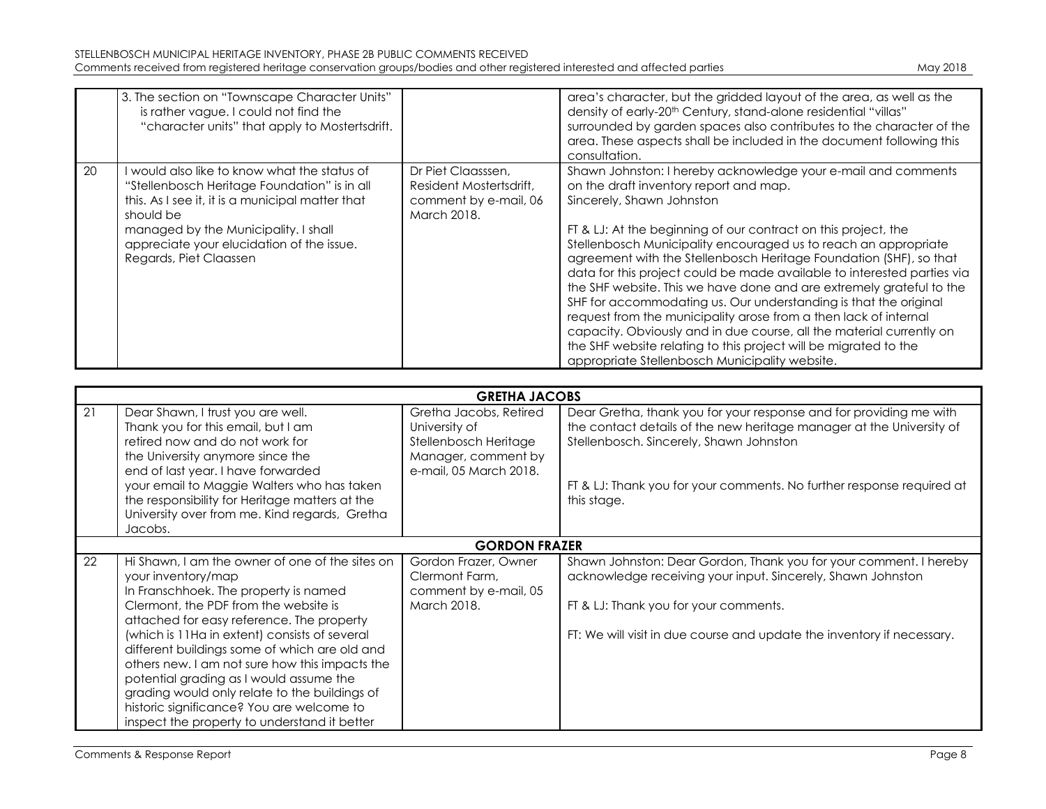|    | 3. The section on "Townscape Character Units"<br>is rather vague. I could not find the<br>"character units" that apply to Mostertsdrift.                                                                                                                                     |                                                                                       | area's character, but the gridded layout of the area, as well as the<br>density of early-20 <sup>th</sup> Century, stand-alone residential "villas"<br>surrounded by garden spaces also contributes to the character of the<br>area. These aspects shall be included in the document following this<br>consultation.                            |
|----|------------------------------------------------------------------------------------------------------------------------------------------------------------------------------------------------------------------------------------------------------------------------------|---------------------------------------------------------------------------------------|-------------------------------------------------------------------------------------------------------------------------------------------------------------------------------------------------------------------------------------------------------------------------------------------------------------------------------------------------|
| 20 | I would also like to know what the status of<br>"Stellenbosch Heritage Foundation" is in all<br>this. As I see it, it is a municipal matter that<br>should be<br>managed by the Municipality. I shall<br>appreciate your elucidation of the issue.<br>Regards, Piet Claassen | Dr Piet Claasssen,<br>Resident Mostertsdrift,<br>comment by e-mail, 06<br>March 2018. | Shawn Johnston: I hereby acknowledge your e-mail and comments<br>on the draft inventory report and map.<br>Sincerely, Shawn Johnston<br>FT & LJ: At the beginning of our contract on this project, the<br>Stellenbosch Municipality encouraged us to reach an appropriate<br>agreement with the Stellenbosch Heritage Foundation (SHF), so that |

| request from the municipality arose from a then lack of internal<br>capacity. Obviously and in due course, all the material currently on<br>the SHF website relating to this project will be migrated to the<br>appropriate Stellenbosch Municipality website. |
|----------------------------------------------------------------------------------------------------------------------------------------------------------------------------------------------------------------------------------------------------------------|
|----------------------------------------------------------------------------------------------------------------------------------------------------------------------------------------------------------------------------------------------------------------|

|    | <b>GRETHA JACOBS</b>                                                                                                                                                                                                                                                                                                                                                                                                                                                                                                                              |                                                                                                                   |                                                                                                                                                                                                                                                                               |  |  |
|----|---------------------------------------------------------------------------------------------------------------------------------------------------------------------------------------------------------------------------------------------------------------------------------------------------------------------------------------------------------------------------------------------------------------------------------------------------------------------------------------------------------------------------------------------------|-------------------------------------------------------------------------------------------------------------------|-------------------------------------------------------------------------------------------------------------------------------------------------------------------------------------------------------------------------------------------------------------------------------|--|--|
| 21 | Dear Shawn, I trust you are well.<br>Thank you for this email, but I am<br>retired now and do not work for<br>the University anymore since the<br>end of last year. I have forwarded<br>your email to Maggie Walters who has taken<br>the responsibility for Heritage matters at the<br>University over from me. Kind regards, Gretha<br>Jacobs.                                                                                                                                                                                                  | Gretha Jacobs, Retired<br>University of<br>Stellenbosch Heritage<br>Manager, comment by<br>e-mail, 05 March 2018. | Dear Gretha, thank you for your response and for providing me with<br>the contact details of the new heritage manager at the University of<br>Stellenbosch. Sincerely, Shawn Johnston<br>FT & LJ: Thank you for your comments. No further response required at<br>this stage. |  |  |
|    | <b>GORDON FRAZER</b>                                                                                                                                                                                                                                                                                                                                                                                                                                                                                                                              |                                                                                                                   |                                                                                                                                                                                                                                                                               |  |  |
| 22 | Hi Shawn, I am the owner of one of the sites on<br>your inventory/map<br>In Franschhoek. The property is named<br>Clermont, the PDF from the website is<br>attached for easy reference. The property<br>(which is 11Ha in extent) consists of several<br>different buildings some of which are old and<br>others new. I am not sure how this impacts the<br>potential grading as I would assume the<br>grading would only relate to the buildings of<br>historic significance? You are welcome to<br>inspect the property to understand it better | Gordon Frazer, Owner<br>Clermont Farm.<br>comment by e-mail, 05<br>March 2018.                                    | Shawn Johnston: Dear Gordon, Thank you for your comment. I hereby<br>acknowledge receiving your input. Sincerely, Shawn Johnston<br>FT & LJ: Thank you for your comments.<br>FT: We will visit in due course and update the inventory if necessary.                           |  |  |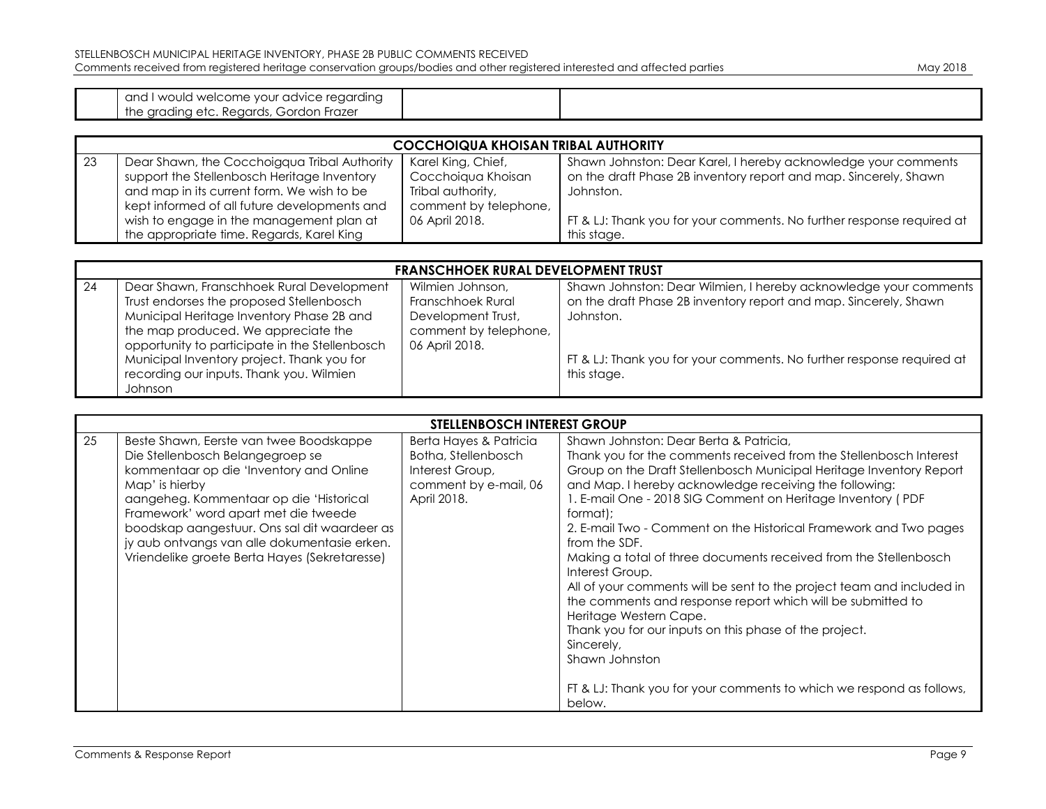and I would welcome your advice regarding the grading etc. Regards, Gordon Frazer

| <b>COCCHOIQUA KHOISAN TRIBAL AUTHORITY</b> |                                              |                       |                                                                       |
|--------------------------------------------|----------------------------------------------|-----------------------|-----------------------------------------------------------------------|
| -23                                        | Dear Shawn, the Cocchoigqua Tribal Authority | Karel King, Chief,    | Shawn Johnston: Dear Karel, I hereby acknowledge your comments        |
|                                            | support the Stellenbosch Heritage Inventory  | Cocchoiqua Khoisan    | on the draft Phase 2B inventory report and map. Sincerely, Shawn      |
|                                            | and map in its current form. We wish to be   | Tribal authority,     | Johnston.                                                             |
|                                            | kept informed of all future developments and | comment by telephone, |                                                                       |
|                                            | wish to engage in the management plan at     | 06 April 2018.        | FT & LJ: Thank you for your comments. No further response required at |
|                                            | the appropriate time. Regards, Karel King    |                       | this stage.                                                           |

|     | <b>FRANSCHHOEK RURAL DEVELOPMENT TRUST</b>     |                       |                                                                       |  |
|-----|------------------------------------------------|-----------------------|-----------------------------------------------------------------------|--|
| -24 | Dear Shawn, Franschhoek Rural Development      | Wilmien Johnson,      | Shawn Johnston: Dear Wilmien, I hereby acknowledge your comments      |  |
|     | Trust endorses the proposed Stellenbosch       | Franschhoek Rural     | on the draft Phase 2B inventory report and map. Sincerely, Shawn      |  |
|     | Municipal Heritage Inventory Phase 2B and      | Development Trust,    | Johnston.                                                             |  |
|     | the map produced. We appreciate the            | comment by telephone, |                                                                       |  |
|     | opportunity to participate in the Stellenbosch | 06 April 2018.        |                                                                       |  |
|     | Municipal Inventory project. Thank you for     |                       | FT & LJ: Thank you for your comments. No further response required at |  |
|     | recording our inputs. Thank you. Wilmien       |                       | this stage.                                                           |  |
|     | <b>Johnson</b>                                 |                       |                                                                       |  |

|    | <b>STELLENBOSCH INTEREST GROUP</b>                                                                                                                                                                                                                                                                                                                                           |                                                                                                          |                                                                                                                                                                                                                                                                                                                                                                                                                                                                                                                                                                                                                                                                                                                                                                                                                                                     |  |
|----|------------------------------------------------------------------------------------------------------------------------------------------------------------------------------------------------------------------------------------------------------------------------------------------------------------------------------------------------------------------------------|----------------------------------------------------------------------------------------------------------|-----------------------------------------------------------------------------------------------------------------------------------------------------------------------------------------------------------------------------------------------------------------------------------------------------------------------------------------------------------------------------------------------------------------------------------------------------------------------------------------------------------------------------------------------------------------------------------------------------------------------------------------------------------------------------------------------------------------------------------------------------------------------------------------------------------------------------------------------------|--|
| 25 | Beste Shawn, Eerste van twee Boodskappe<br>Die Stellenbosch Belangegroep se<br>kommentaar op die 'Inventory and Online<br>Map' is hierby<br>aangeheg. Kommentaar op die 'Historical<br>Framework' word apart met die tweede<br>boodskap aangestuur. Ons sal dit waardeer as<br>jy aub ontvangs van alle dokumentasie erken.<br>Vriendelike groete Berta Hayes (Sekretaresse) | Berta Hayes & Patricia<br>Botha, Stellenbosch<br>Interest Group,<br>comment by e-mail, 06<br>April 2018. | Shawn Johnston: Dear Berta & Patricia.<br>Thank you for the comments received from the Stellenbosch Interest<br>Group on the Draft Stellenbosch Municipal Heritage Inventory Report<br>and Map. I hereby acknowledge receiving the following:<br>1. E-mail One - 2018 SIG Comment on Heritage Inventory (PDF<br>format);<br>2. E-mail Two - Comment on the Historical Framework and Two pages<br>from the SDF.<br>Making a total of three documents received from the Stellenbosch<br>Interest Group.<br>All of your comments will be sent to the project team and included in<br>the comments and response report which will be submitted to<br>Heritage Western Cape.<br>Thank you for our inputs on this phase of the project.<br>Sincerely,<br>Shawn Johnston<br>FT & LJ: Thank you for your comments to which we respond as follows,<br>below. |  |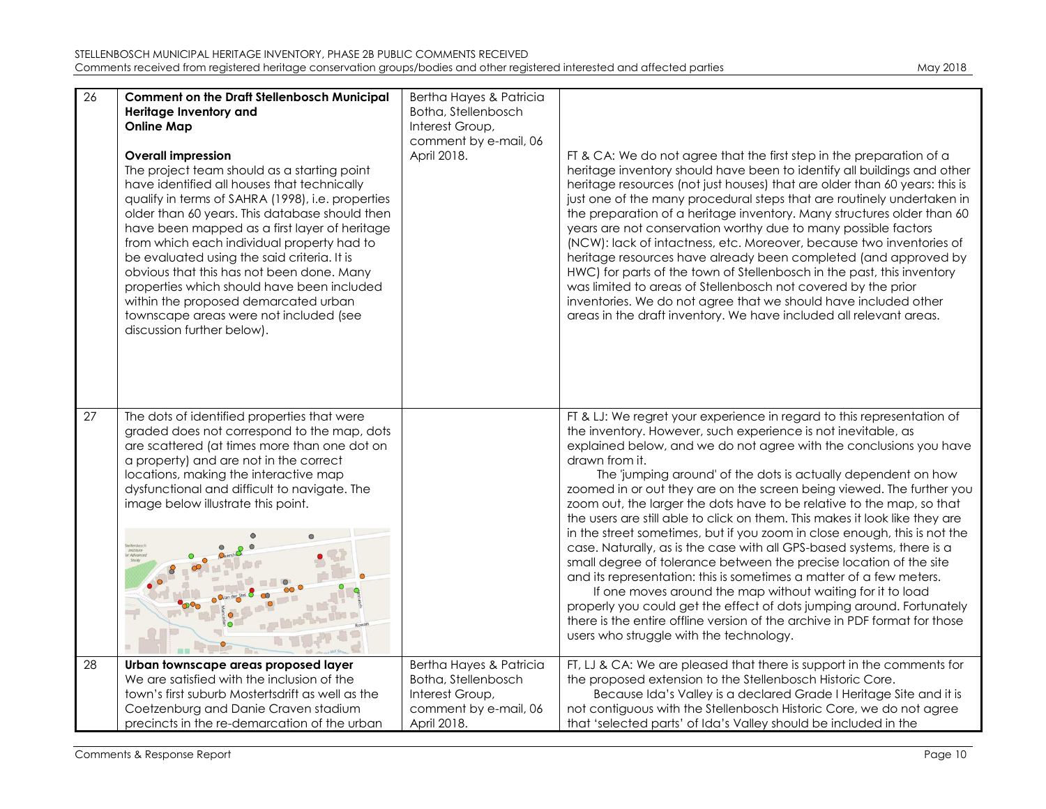| 26 | <b>Comment on the Draft Stellenbosch Municipal</b><br>Heritage Inventory and<br><b>Online Map</b><br><b>Overall impression</b><br>The project team should as a starting point<br>have identified all houses that technically<br>qualify in terms of SAHRA (1998), i.e. properties<br>older than 60 years. This database should then<br>have been mapped as a first layer of heritage<br>from which each individual property had to<br>be evaluated using the said criteria. It is<br>obvious that this has not been done. Many<br>properties which should have been included<br>within the proposed demarcated urban<br>townscape areas were not included (see<br>discussion further below). | Bertha Hayes & Patricia<br>Botha, Stellenbosch<br>Interest Group,<br>comment by e-mail, 06<br>April 2018. | FT & CA: We do not agree that the first step in the preparation of a<br>heritage inventory should have been to identify all buildings and other<br>heritage resources (not just houses) that are older than 60 years: this is<br>just one of the many procedural steps that are routinely undertaken in<br>the preparation of a heritage inventory. Many structures older than 60<br>years are not conservation worthy due to many possible factors<br>(NCW): lack of intactness, etc. Moreover, because two inventories of<br>heritage resources have already been completed (and approved by<br>HWC) for parts of the town of Stellenbosch in the past, this inventory<br>was limited to areas of Stellenbosch not covered by the prior<br>inventories. We do not agree that we should have included other<br>areas in the draft inventory. We have included all relevant areas.                                                                                                                                                                                                                    |
|----|----------------------------------------------------------------------------------------------------------------------------------------------------------------------------------------------------------------------------------------------------------------------------------------------------------------------------------------------------------------------------------------------------------------------------------------------------------------------------------------------------------------------------------------------------------------------------------------------------------------------------------------------------------------------------------------------|-----------------------------------------------------------------------------------------------------------|-------------------------------------------------------------------------------------------------------------------------------------------------------------------------------------------------------------------------------------------------------------------------------------------------------------------------------------------------------------------------------------------------------------------------------------------------------------------------------------------------------------------------------------------------------------------------------------------------------------------------------------------------------------------------------------------------------------------------------------------------------------------------------------------------------------------------------------------------------------------------------------------------------------------------------------------------------------------------------------------------------------------------------------------------------------------------------------------------------|
| 27 | The dots of identified properties that were<br>graded does not correspond to the map, dots<br>are scattered (at times more than one dot on<br>a property) and are not in the correct<br>locations, making the interactive map<br>dysfunctional and difficult to navigate. The<br>image below illustrate this point.                                                                                                                                                                                                                                                                                                                                                                          |                                                                                                           | FT & LJ: We regret your experience in regard to this representation of<br>the inventory. However, such experience is not inevitable, as<br>explained below, and we do not agree with the conclusions you have<br>drawn from it.<br>The 'jumping around' of the dots is actually dependent on how<br>zoomed in or out they are on the screen being viewed. The further you<br>zoom out, the larger the dots have to be relative to the map, so that<br>the users are still able to click on them. This makes it look like they are<br>in the street sometimes, but if you zoom in close enough, this is not the<br>case. Naturally, as is the case with all GPS-based systems, there is a<br>small degree of tolerance between the precise location of the site<br>and its representation: this is sometimes a matter of a few meters.<br>If one moves around the map without waiting for it to load<br>properly you could get the effect of dots jumping around. Fortunately<br>there is the entire offline version of the archive in PDF format for those<br>users who struggle with the technology. |
| 28 | Urban townscape areas proposed layer<br>We are satisfied with the inclusion of the<br>town's first suburb Mostertsdrift as well as the<br>Coetzenburg and Danie Craven stadium<br>precincts in the re-demarcation of the urban                                                                                                                                                                                                                                                                                                                                                                                                                                                               | Bertha Hayes & Patricia<br>Botha, Stellenbosch<br>Interest Group,<br>comment by e-mail, 06<br>April 2018. | FT, LJ & CA: We are pleased that there is support in the comments for<br>the proposed extension to the Stellenbosch Historic Core.<br>Because Ida's Valley is a declared Grade I Heritage Site and it is<br>not contiguous with the Stellenbosch Historic Core, we do not agree<br>that 'selected parts' of Ida's Valley should be included in the                                                                                                                                                                                                                                                                                                                                                                                                                                                                                                                                                                                                                                                                                                                                                    |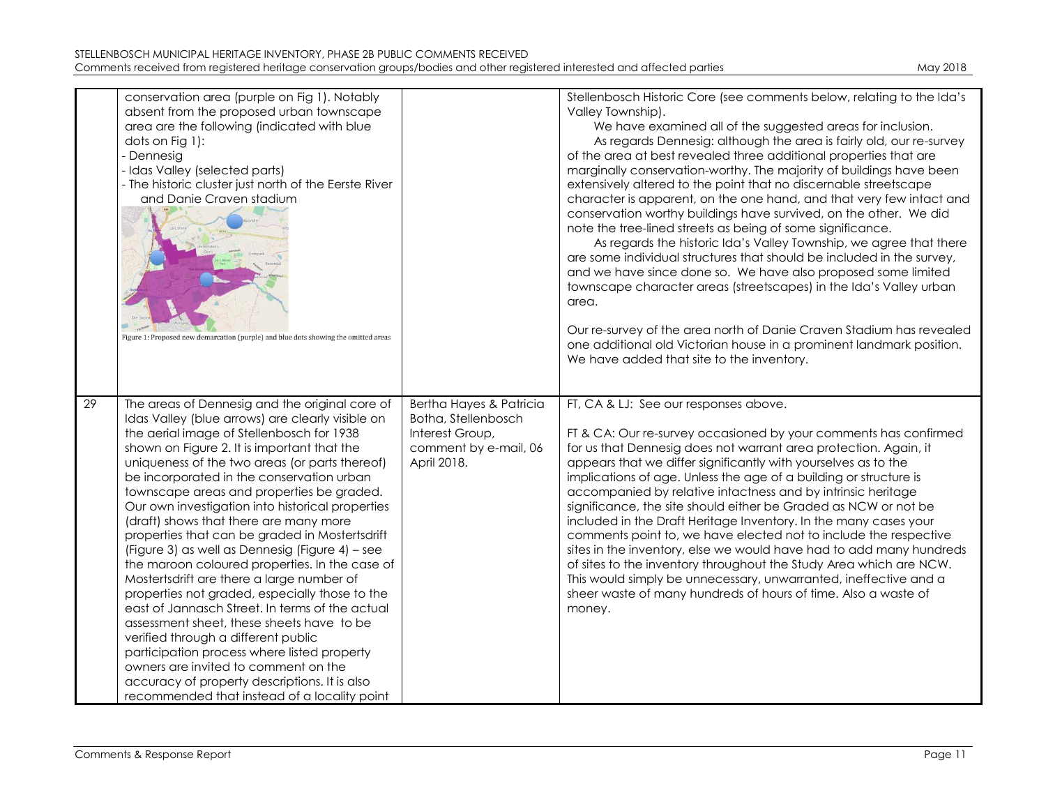|    | conservation area (purple on Fig 1). Notably<br>absent from the proposed urban townscape<br>area are the following (indicated with blue<br>dots on Fig 1):<br>- Dennesig<br>- Idas Valley (selected parts)<br>- The historic cluster just north of the Eerste River<br>and Danie Craven stadium<br>Figure 1: Proposed new demarcation (purple) and blue dots showing the omitted areas                                                                                                                                                                                                                                                                                                                                                                                                                                                                                                                                                                                                                                        |                                                                                                           | Stellenbosch Historic Core (see comments below, relating to the Ida's<br>Valley Township).<br>We have examined all of the suggested areas for inclusion.<br>As regards Dennesig: although the area is fairly old, our re-survey<br>of the area at best revealed three additional properties that are<br>marginally conservation-worthy. The majority of buildings have been<br>extensively altered to the point that no discernable streetscape<br>character is apparent, on the one hand, and that very few intact and<br>conservation worthy buildings have survived, on the other. We did<br>note the tree-lined streets as being of some significance.<br>As regards the historic Ida's Valley Township, we agree that there<br>are some individual structures that should be included in the survey,<br>and we have since done so. We have also proposed some limited<br>townscape character areas (streetscapes) in the Ida's Valley urban<br>area.<br>Our re-survey of the area north of Danie Craven Stadium has revealed<br>one additional old Victorian house in a prominent landmark position.<br>We have added that site to the inventory. |
|----|-------------------------------------------------------------------------------------------------------------------------------------------------------------------------------------------------------------------------------------------------------------------------------------------------------------------------------------------------------------------------------------------------------------------------------------------------------------------------------------------------------------------------------------------------------------------------------------------------------------------------------------------------------------------------------------------------------------------------------------------------------------------------------------------------------------------------------------------------------------------------------------------------------------------------------------------------------------------------------------------------------------------------------|-----------------------------------------------------------------------------------------------------------|--------------------------------------------------------------------------------------------------------------------------------------------------------------------------------------------------------------------------------------------------------------------------------------------------------------------------------------------------------------------------------------------------------------------------------------------------------------------------------------------------------------------------------------------------------------------------------------------------------------------------------------------------------------------------------------------------------------------------------------------------------------------------------------------------------------------------------------------------------------------------------------------------------------------------------------------------------------------------------------------------------------------------------------------------------------------------------------------------------------------------------------------------------|
| 29 | The areas of Dennesig and the original core of<br>Idas Valley (blue arrows) are clearly visible on<br>the aerial image of Stellenbosch for 1938<br>shown on Figure 2. It is important that the<br>uniqueness of the two areas (or parts thereof)<br>be incorporated in the conservation urban<br>townscape areas and properties be graded.<br>Our own investigation into historical properties<br>(draft) shows that there are many more<br>properties that can be graded in Mostertsdrift<br>(Figure 3) as well as Dennesig (Figure 4) - see<br>the maroon coloured properties. In the case of<br>Mostertsdrift are there a large number of<br>properties not graded, especially those to the<br>east of Jannasch Street. In terms of the actual<br>assessment sheet, these sheets have to be<br>verified through a different public<br>participation process where listed property<br>owners are invited to comment on the<br>accuracy of property descriptions. It is also<br>recommended that instead of a locality point | Bertha Hayes & Patricia<br>Botha, Stellenbosch<br>Interest Group,<br>comment by e-mail, 06<br>April 2018. | FT, CA & LJ: See our responses above.<br>FT & CA: Our re-survey occasioned by your comments has confirmed<br>for us that Dennesig does not warrant area protection. Again, it<br>appears that we differ significantly with yourselves as to the<br>implications of age. Unless the age of a building or structure is<br>accompanied by relative intactness and by intrinsic heritage<br>significance, the site should either be Graded as NCW or not be<br>included in the Draft Heritage Inventory. In the many cases your<br>comments point to, we have elected not to include the respective<br>sites in the inventory, else we would have had to add many hundreds<br>of sites to the inventory throughout the Study Area which are NCW.<br>This would simply be unnecessary, unwarranted, ineffective and a<br>sheer waste of many hundreds of hours of time. Also a waste of<br>money.                                                                                                                                                                                                                                                           |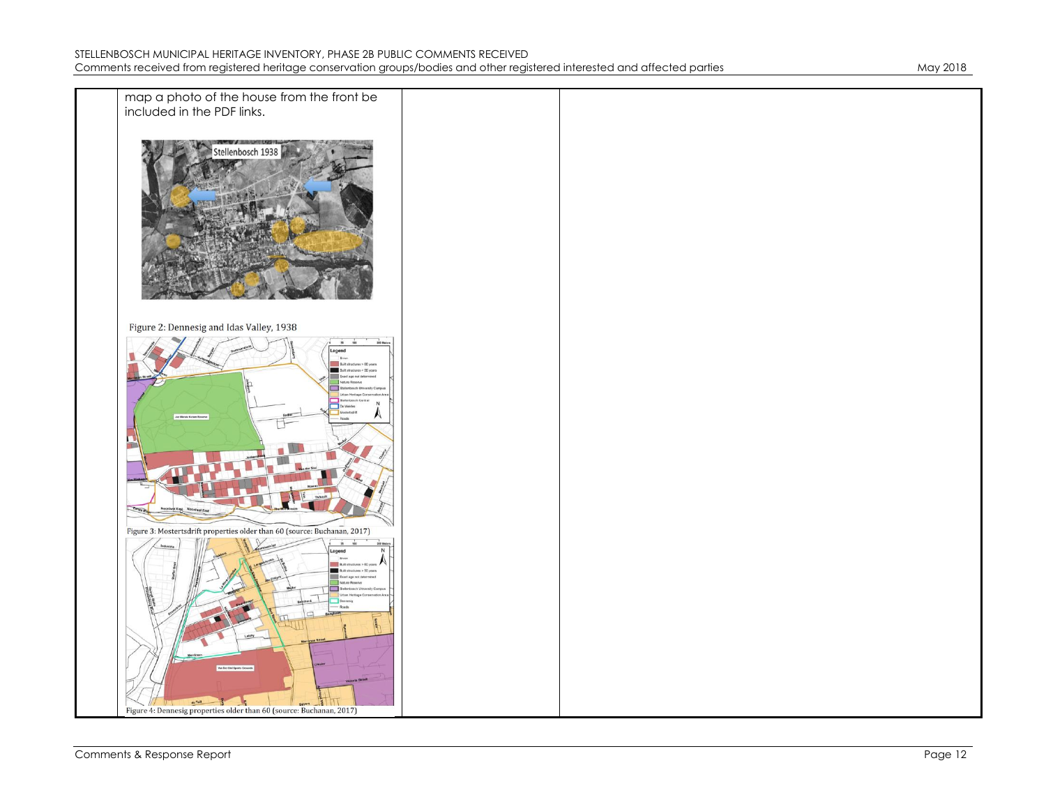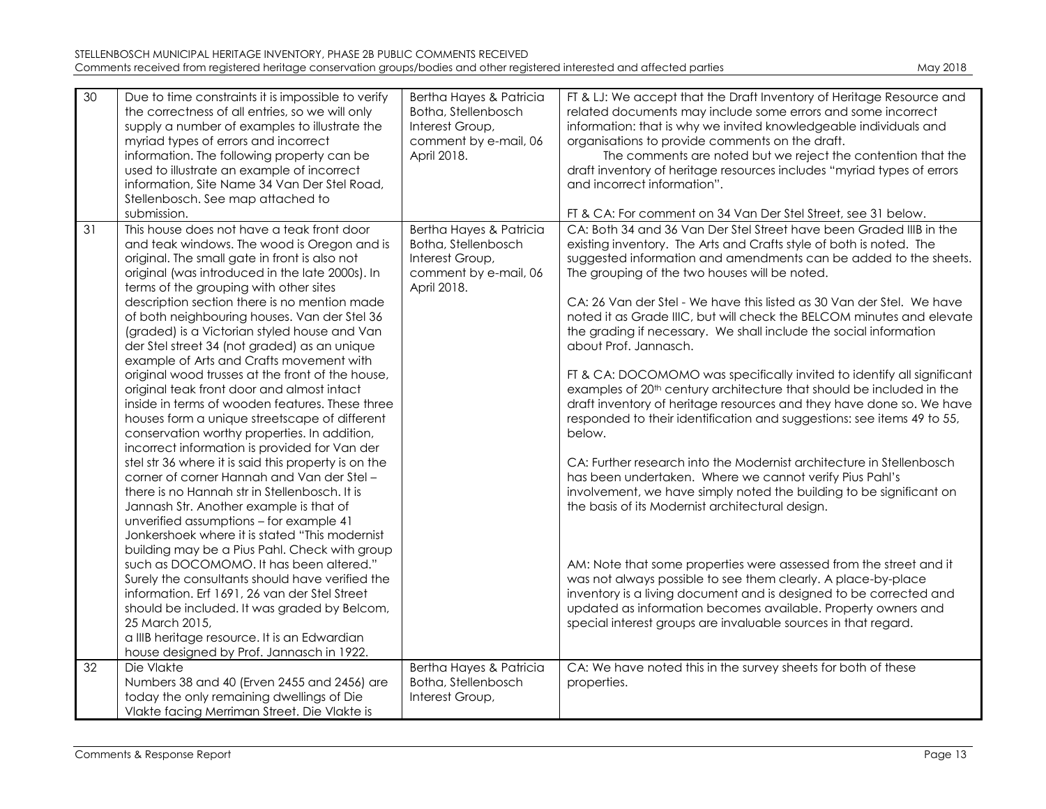| STELLENBOSCH MUNICIPAL HERITAGE INVENTORY, PHASE 2B PUBLIC COMMENTS RECEIVED                                               |          |
|----------------------------------------------------------------------------------------------------------------------------|----------|
| Comments received from registered heritage conservation groups/bodies and other registered interested and affected parties | May 2018 |

| 30 | Due to time constraints it is impossible to verify<br>the correctness of all entries, so we will only<br>supply a number of examples to illustrate the<br>myriad types of errors and incorrect<br>information. The following property can be<br>used to illustrate an example of incorrect<br>information, Site Name 34 Van Der Stel Road,<br>Stellenbosch. See map attached to<br>submission.                                                                                                                                                                                                                                                                                                                                                                                                                                                                                                                                                                                                                                                                                                                                                                                                                                                                                                                                                                                                              | Bertha Hayes & Patricia<br>Botha, Stellenbosch<br>Interest Group,<br>comment by e-mail, 06<br>April 2018. | FT & LJ: We accept that the Draft Inventory of Heritage Resource and<br>related documents may include some errors and some incorrect<br>information: that is why we invited knowledgeable individuals and<br>organisations to provide comments on the draft.<br>The comments are noted but we reject the contention that the<br>draft inventory of heritage resources includes "myriad types of errors<br>and incorrect information".<br>FT & CA: For comment on 34 Van Der Stel Street, see 31 below.                                                                                                                                                                                                                                                                                                                                                                                                                                                                                                                                                                                                                                                                                                                                                                                                                                                                                                                                                  |
|----|-------------------------------------------------------------------------------------------------------------------------------------------------------------------------------------------------------------------------------------------------------------------------------------------------------------------------------------------------------------------------------------------------------------------------------------------------------------------------------------------------------------------------------------------------------------------------------------------------------------------------------------------------------------------------------------------------------------------------------------------------------------------------------------------------------------------------------------------------------------------------------------------------------------------------------------------------------------------------------------------------------------------------------------------------------------------------------------------------------------------------------------------------------------------------------------------------------------------------------------------------------------------------------------------------------------------------------------------------------------------------------------------------------------|-----------------------------------------------------------------------------------------------------------|---------------------------------------------------------------------------------------------------------------------------------------------------------------------------------------------------------------------------------------------------------------------------------------------------------------------------------------------------------------------------------------------------------------------------------------------------------------------------------------------------------------------------------------------------------------------------------------------------------------------------------------------------------------------------------------------------------------------------------------------------------------------------------------------------------------------------------------------------------------------------------------------------------------------------------------------------------------------------------------------------------------------------------------------------------------------------------------------------------------------------------------------------------------------------------------------------------------------------------------------------------------------------------------------------------------------------------------------------------------------------------------------------------------------------------------------------------|
| 31 | This house does not have a teak front door<br>and teak windows. The wood is Oregon and is<br>original. The small gate in front is also not<br>original (was introduced in the late 2000s). In<br>terms of the grouping with other sites<br>description section there is no mention made<br>of both neighbouring houses. Van der Stel 36<br>(graded) is a Victorian styled house and Van<br>der Stel street 34 (not graded) as an unique<br>example of Arts and Crafts movement with<br>original wood trusses at the front of the house,<br>original teak front door and almost intact<br>inside in terms of wooden features. These three<br>houses form a unique streetscape of different<br>conservation worthy properties. In addition,<br>incorrect information is provided for Van der<br>stel str 36 where it is said this property is on the<br>corner of corner Hannah and Van der Stel-<br>there is no Hannah str in Stellenbosch. It is<br>Jannash Str. Another example is that of<br>unverified assumptions - for example 41<br>Jonkershoek where it is stated "This modernist"<br>building may be a Pius Pahl. Check with group<br>such as DOCOMOMO. It has been altered."<br>Surely the consultants should have verified the<br>information. Erf 1691, 26 van der Stel Street<br>should be included. It was graded by Belcom,<br>25 March 2015,<br>a IIIB heritage resource. It is an Edwardian | Bertha Hayes & Patricia<br>Botha, Stellenbosch<br>Interest Group,<br>comment by e-mail, 06<br>April 2018. | CA: Both 34 and 36 Van Der Stel Street have been Graded IIIB in the<br>existing inventory. The Arts and Crafts style of both is noted. The<br>suggested information and amendments can be added to the sheets.<br>The grouping of the two houses will be noted.<br>CA: 26 Van der Stel - We have this listed as 30 Van der Stel. We have<br>noted it as Grade IIIC, but will check the BELCOM minutes and elevate<br>the grading if necessary. We shall include the social information<br>about Prof. Jannasch.<br>FT & CA: DOCOMOMO was specifically invited to identify all significant<br>examples of 20 <sup>th</sup> century architecture that should be included in the<br>draft inventory of heritage resources and they have done so. We have<br>responded to their identification and suggestions: see items 49 to 55,<br>below.<br>CA: Further research into the Modernist architecture in Stellenbosch<br>has been undertaken. Where we cannot verify Pius Pahl's<br>involvement, we have simply noted the building to be significant on<br>the basis of its Modernist architectural design.<br>AM: Note that some properties were assessed from the street and it<br>was not always possible to see them clearly. A place-by-place<br>inventory is a living document and is designed to be corrected and<br>updated as information becomes available. Property owners and<br>special interest groups are invaluable sources in that regard. |
|    | house designed by Prof. Jannasch in 1922.                                                                                                                                                                                                                                                                                                                                                                                                                                                                                                                                                                                                                                                                                                                                                                                                                                                                                                                                                                                                                                                                                                                                                                                                                                                                                                                                                                   |                                                                                                           |                                                                                                                                                                                                                                                                                                                                                                                                                                                                                                                                                                                                                                                                                                                                                                                                                                                                                                                                                                                                                                                                                                                                                                                                                                                                                                                                                                                                                                                         |
| 32 | Die Vlakte<br>Numbers 38 and 40 (Erven 2455 and 2456) are<br>today the only remaining dwellings of Die<br>Vlakte facing Merriman Street. Die Vlakte is                                                                                                                                                                                                                                                                                                                                                                                                                                                                                                                                                                                                                                                                                                                                                                                                                                                                                                                                                                                                                                                                                                                                                                                                                                                      | Bertha Hayes & Patricia<br>Botha, Stellenbosch<br>Interest Group,                                         | CA: We have noted this in the survey sheets for both of these<br>properties.                                                                                                                                                                                                                                                                                                                                                                                                                                                                                                                                                                                                                                                                                                                                                                                                                                                                                                                                                                                                                                                                                                                                                                                                                                                                                                                                                                            |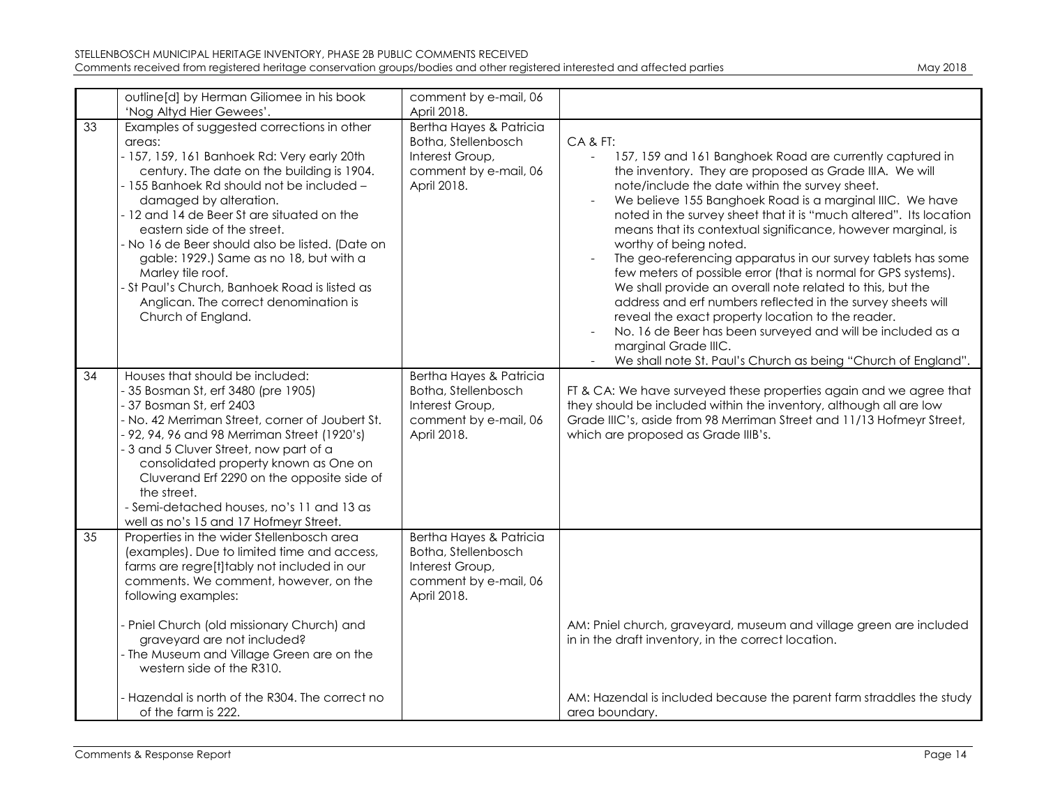| Mav 2018 |  |
|----------|--|
|          |  |

|    | outline[d] by Herman Giliomee in his book                                                                                                                                                                                                                                                                                                                                                                                                                                                                                                                            | comment by e-mail, 06                                                                                                    |                                                                                                                                                                                                                                                                                                                                                                                                                                                                                                                                                                                                                                                                                                                                                                                                                                                                                                        |
|----|----------------------------------------------------------------------------------------------------------------------------------------------------------------------------------------------------------------------------------------------------------------------------------------------------------------------------------------------------------------------------------------------------------------------------------------------------------------------------------------------------------------------------------------------------------------------|--------------------------------------------------------------------------------------------------------------------------|--------------------------------------------------------------------------------------------------------------------------------------------------------------------------------------------------------------------------------------------------------------------------------------------------------------------------------------------------------------------------------------------------------------------------------------------------------------------------------------------------------------------------------------------------------------------------------------------------------------------------------------------------------------------------------------------------------------------------------------------------------------------------------------------------------------------------------------------------------------------------------------------------------|
| 33 | 'Nog Altyd Hier Gewees'.<br>Examples of suggested corrections in other<br>areas:<br>- 157, 159, 161 Banhoek Rd: Very early 20th<br>century. The date on the building is 1904.<br>- 155 Banhoek Rd should not be included -<br>damaged by alteration.<br>- 12 and 14 de Beer St are situated on the<br>eastern side of the street.<br>- No 16 de Beer should also be listed. (Date on<br>gable: 1929.) Same as no 18, but with a<br>Marley tile roof.<br>- St Paul's Church, Banhoek Road is listed as<br>Anglican. The correct denomination is<br>Church of England. | April 2018.<br>Bertha Hayes & Patricia<br>Botha, Stellenbosch<br>Interest Group,<br>comment by e-mail, 06<br>April 2018. | CA&FT:<br>157, 159 and 161 Banghoek Road are currently captured in<br>$\blacksquare$<br>the inventory. They are proposed as Grade IIIA. We will<br>note/include the date within the survey sheet.<br>We believe 155 Banghoek Road is a marginal IIIC. We have<br>noted in the survey sheet that it is "much altered". Its location<br>means that its contextual significance, however marginal, is<br>worthy of being noted.<br>The geo-referencing apparatus in our survey tablets has some<br>few meters of possible error (that is normal for GPS systems).<br>We shall provide an overall note related to this, but the<br>address and erf numbers reflected in the survey sheets will<br>reveal the exact property location to the reader.<br>No. 16 de Beer has been surveyed and will be included as a<br>marginal Grade IIIC.<br>We shall note St. Paul's Church as being "Church of England". |
| 34 | Houses that should be included:<br>- 35 Bosman St, erf 3480 (pre 1905)<br>- 37 Bosman St, erf 2403<br>- No. 42 Merriman Street, corner of Joubert St.<br>- 92, 94, 96 and 98 Merriman Street (1920's)<br>- 3 and 5 Cluver Street, now part of a<br>consolidated property known as One on<br>Cluverand Erf 2290 on the opposite side of<br>the street.<br>- Semi-detached houses, no's 11 and 13 as<br>well as no's 15 and 17 Hofmeyr Street.                                                                                                                         | Bertha Hayes & Patricia<br>Botha, Stellenbosch<br>Interest Group,<br>comment by e-mail, 06<br>April 2018.                | FT & CA: We have surveyed these properties again and we agree that<br>they should be included within the inventory, although all are low<br>Grade IIIC's, aside from 98 Merriman Street and 11/13 Hofmeyr Street,<br>which are proposed as Grade IIIB's.                                                                                                                                                                                                                                                                                                                                                                                                                                                                                                                                                                                                                                               |
| 35 | Properties in the wider Stellenbosch area<br>(examples). Due to limited time and access,<br>farms are regre[t]tably not included in our<br>comments. We comment, however, on the<br>following examples:<br>- Pniel Church (old missionary Church) and<br>graveyard are not included?<br>- The Museum and Village Green are on the<br>western side of the R310.                                                                                                                                                                                                       | Bertha Hayes & Patricia<br>Botha, Stellenbosch<br>Interest Group,<br>comment by e-mail, 06<br>April 2018.                | AM: Pniel church, graveyard, museum and village green are included<br>in in the draft inventory, in the correct location.                                                                                                                                                                                                                                                                                                                                                                                                                                                                                                                                                                                                                                                                                                                                                                              |
|    | - Hazendal is north of the R304. The correct no<br>of the farm is 222.                                                                                                                                                                                                                                                                                                                                                                                                                                                                                               |                                                                                                                          | AM: Hazendal is included because the parent farm straddles the study<br>area boundary.                                                                                                                                                                                                                                                                                                                                                                                                                                                                                                                                                                                                                                                                                                                                                                                                                 |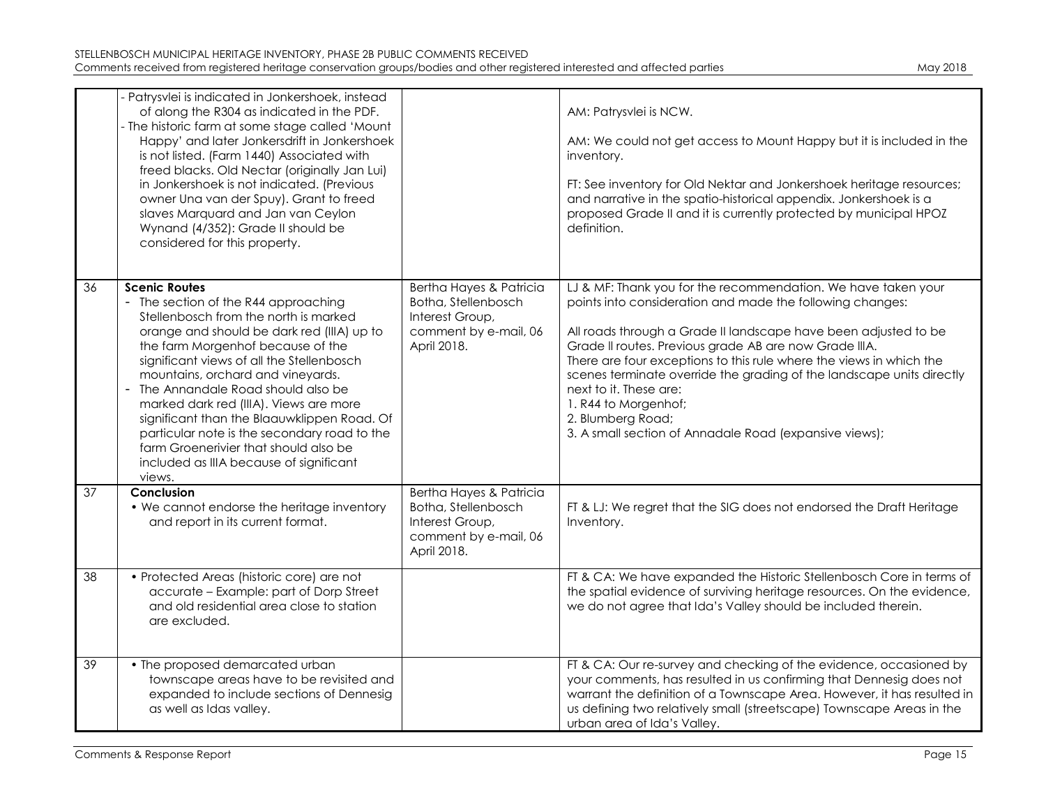| May 2018 |
|----------|
|----------|

|    | - Patrysvlei is indicated in Jonkershoek, instead<br>of along the R304 as indicated in the PDF.<br>- The historic farm at some stage called 'Mount<br>Happy' and later Jonkersdrift in Jonkershoek<br>is not listed. (Farm 1440) Associated with<br>freed blacks. Old Nectar (originally Jan Lui)<br>in Jonkershoek is not indicated. (Previous<br>owner Una van der Spuy). Grant to freed<br>slaves Marquard and Jan van Ceylon<br>Wynand (4/352): Grade II should be<br>considered for this property.                                                  |                                                                                                           | AM: Patrysvlei is NCW.<br>AM: We could not get access to Mount Happy but it is included in the<br>inventory.<br>FT: See inventory for Old Nektar and Jonkershoek heritage resources;<br>and narrative in the spatio-historical appendix. Jonkershoek is a<br>proposed Grade II and it is currently protected by municipal HPOZ<br>definition.                                                                                                                                                                                            |
|----|----------------------------------------------------------------------------------------------------------------------------------------------------------------------------------------------------------------------------------------------------------------------------------------------------------------------------------------------------------------------------------------------------------------------------------------------------------------------------------------------------------------------------------------------------------|-----------------------------------------------------------------------------------------------------------|------------------------------------------------------------------------------------------------------------------------------------------------------------------------------------------------------------------------------------------------------------------------------------------------------------------------------------------------------------------------------------------------------------------------------------------------------------------------------------------------------------------------------------------|
| 36 | <b>Scenic Routes</b><br>- The section of the R44 approaching<br>Stellenbosch from the north is marked<br>orange and should be dark red (IIIA) up to<br>the farm Morgenhof because of the<br>significant views of all the Stellenbosch<br>mountains, orchard and vineyards.<br>- The Annandale Road should also be<br>marked dark red (IIIA). Views are more<br>significant than the Blaauwklippen Road. Of<br>particular note is the secondary road to the<br>farm Groenerivier that should also be<br>included as IIIA because of significant<br>views. | Bertha Hayes & Patricia<br>Botha, Stellenbosch<br>Interest Group,<br>comment by e-mail, 06<br>April 2018. | LJ & MF: Thank you for the recommendation. We have taken your<br>points into consideration and made the following changes:<br>All roads through a Grade II landscape have been adjusted to be<br>Grade II routes. Previous grade AB are now Grade IIIA.<br>There are four exceptions to this rule where the views in which the<br>scenes terminate override the grading of the landscape units directly<br>next to it. These are:<br>1. R44 to Morgenhof;<br>2. Blumberg Road;<br>3. A small section of Annadale Road (expansive views); |
| 37 | Conclusion<br>• We cannot endorse the heritage inventory<br>and report in its current format.                                                                                                                                                                                                                                                                                                                                                                                                                                                            | Bertha Hayes & Patricia<br>Botha, Stellenbosch<br>Interest Group,<br>comment by e-mail, 06<br>April 2018. | FT & LJ: We regret that the SIG does not endorsed the Draft Heritage<br>Inventory.                                                                                                                                                                                                                                                                                                                                                                                                                                                       |
| 38 | • Protected Areas (historic core) are not<br>accurate - Example: part of Dorp Street<br>and old residential area close to station<br>are excluded.                                                                                                                                                                                                                                                                                                                                                                                                       |                                                                                                           | FT & CA: We have expanded the Historic Stellenbosch Core in terms of<br>the spatial evidence of surviving heritage resources. On the evidence,<br>we do not agree that Ida's Valley should be included therein.                                                                                                                                                                                                                                                                                                                          |
| 39 | • The proposed demarcated urban<br>townscape areas have to be revisited and<br>expanded to include sections of Dennesig<br>as well as Idas valley.                                                                                                                                                                                                                                                                                                                                                                                                       |                                                                                                           | FT & CA: Our re-survey and checking of the evidence, occasioned by<br>your comments, has resulted in us confirming that Dennesig does not<br>warrant the definition of a Townscape Area. However, it has resulted in<br>us defining two relatively small (streetscape) Townscape Areas in the<br>urban area of Ida's Valley.                                                                                                                                                                                                             |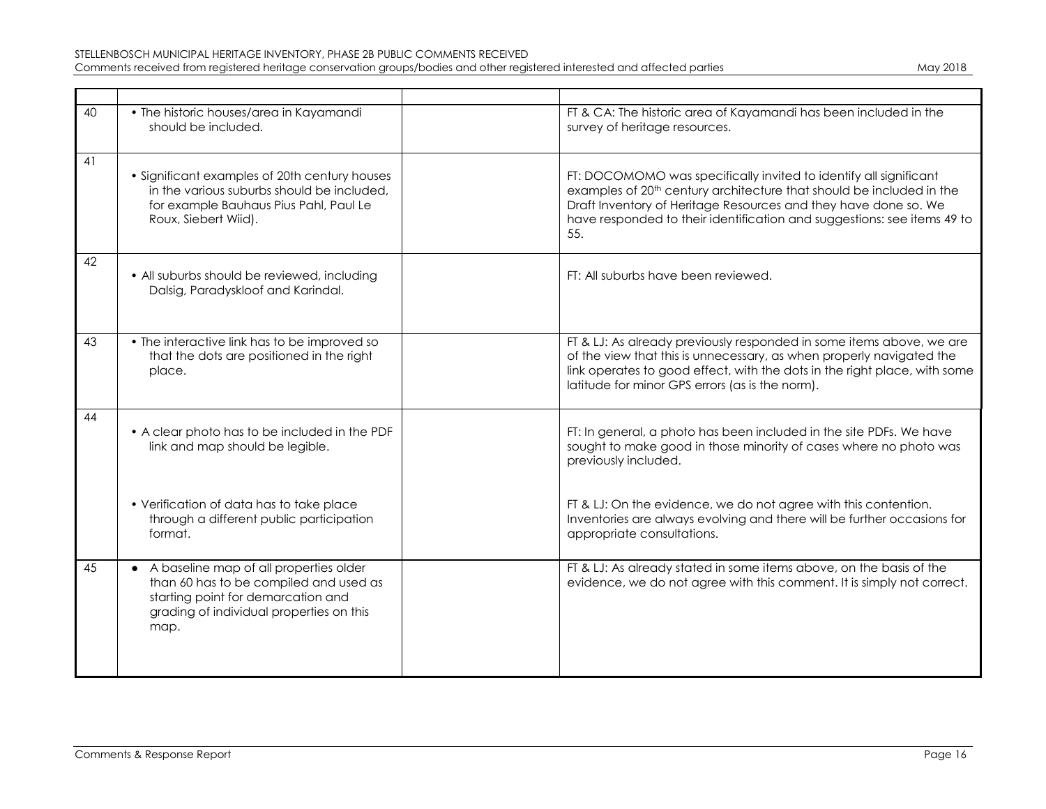| 40 | • The historic houses/area in Kayamandi<br>should be included.                                                                                                               | FT & CA: The historic area of Kayamandi has been included in the<br>survey of heritage resources.                                                                                                                                                                                                          |
|----|------------------------------------------------------------------------------------------------------------------------------------------------------------------------------|------------------------------------------------------------------------------------------------------------------------------------------------------------------------------------------------------------------------------------------------------------------------------------------------------------|
| 41 | • Significant examples of 20th century houses<br>in the various suburbs should be included,<br>for example Bauhaus Pius Pahl, Paul Le<br>Roux, Siebert Wiid).                | FT: DOCOMOMO was specifically invited to identify all significant<br>examples of 20 <sup>th</sup> century architecture that should be included in the<br>Draft Inventory of Heritage Resources and they have done so. We<br>have responded to their identification and suggestions: see items 49 to<br>55. |
| 42 | • All suburbs should be reviewed, including<br>Dalsig, Paradyskloof and Karindal.                                                                                            | FT: All suburbs have been reviewed.                                                                                                                                                                                                                                                                        |
| 43 | • The interactive link has to be improved so<br>that the dots are positioned in the right<br>place.                                                                          | FT & LJ: As already previously responded in some items above, we are<br>of the view that this is unnecessary, as when properly navigated the<br>link operates to good effect, with the dots in the right place, with some<br>latitude for minor GPS errors (as is the norm).                               |
| 44 | • A clear photo has to be included in the PDF<br>link and map should be legible.                                                                                             | FT: In general, a photo has been included in the site PDFs. We have<br>sought to make good in those minority of cases where no photo was<br>previously included.                                                                                                                                           |
|    | • Verification of data has to take place<br>through a different public participation<br>format.                                                                              | FT & LJ: On the evidence, we do not agree with this contention.<br>Inventories are always evolving and there will be further occasions for<br>appropriate consultations.                                                                                                                                   |
| 45 | • A baseline map of all properties older<br>than 60 has to be compiled and used as<br>starting point for demarcation and<br>grading of individual properties on this<br>map. | FT & LJ: As already stated in some items above, on the basis of the<br>evidence, we do not agree with this comment. It is simply not correct.                                                                                                                                                              |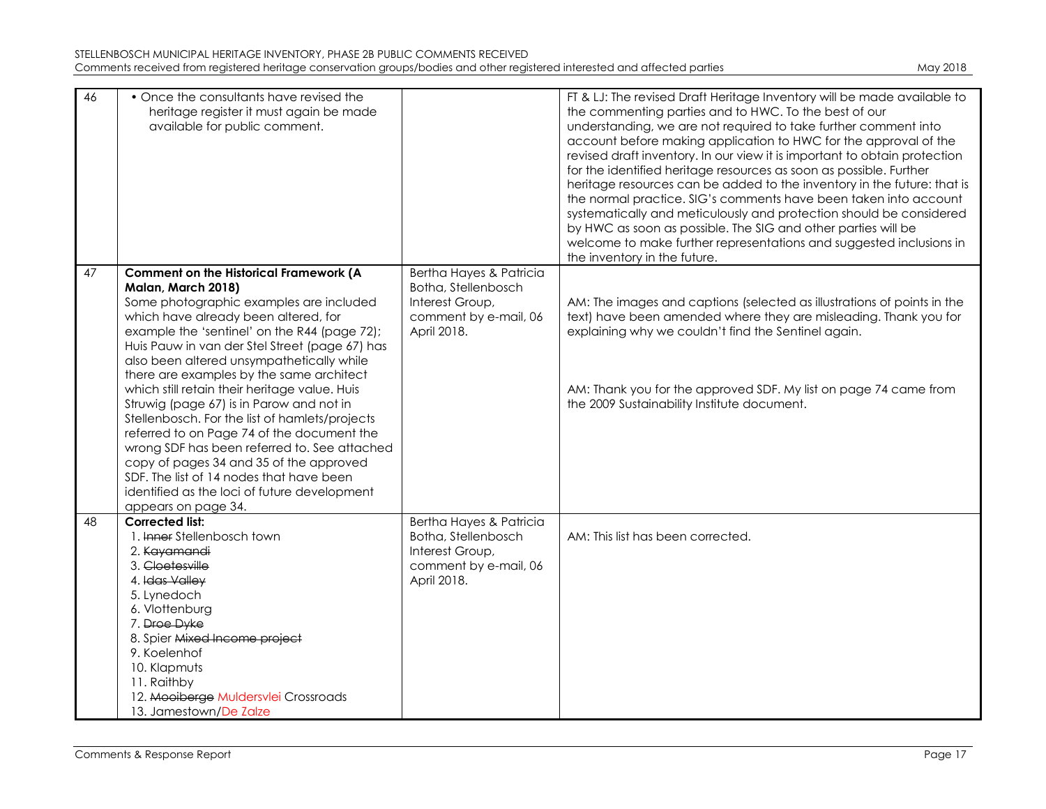| STELLENBOSCH MUNICIPAL HERITAGE INVENTORY, PHASE 2B PUBLIC COMMENTS RECEIVED                                               |          |
|----------------------------------------------------------------------------------------------------------------------------|----------|
| Comments received from registered heritage conservation groups/bodies and other registered interested and affected parties | May 2018 |

| May 2018 |  |
|----------|--|
|          |  |

| 46 | • Once the consultants have revised the<br>heritage register it must again be made<br>available for public comment.                                                                                                                                                                                                                                                                                                                                 |                                                         | FT & LJ: The revised Draft Heritage Inventory will be made available to<br>the commenting parties and to HWC. To the best of our<br>understanding, we are not required to take further comment into<br>account before making application to HWC for the approval of the<br>revised draft inventory. In our view it is important to obtain protection<br>for the identified heritage resources as soon as possible. Further<br>heritage resources can be added to the inventory in the future: that is<br>the normal practice. SIG's comments have been taken into account<br>systematically and meticulously and protection should be considered<br>by HWC as soon as possible. The SIG and other parties will be<br>welcome to make further representations and suggested inclusions in<br>the inventory in the future. |
|----|-----------------------------------------------------------------------------------------------------------------------------------------------------------------------------------------------------------------------------------------------------------------------------------------------------------------------------------------------------------------------------------------------------------------------------------------------------|---------------------------------------------------------|--------------------------------------------------------------------------------------------------------------------------------------------------------------------------------------------------------------------------------------------------------------------------------------------------------------------------------------------------------------------------------------------------------------------------------------------------------------------------------------------------------------------------------------------------------------------------------------------------------------------------------------------------------------------------------------------------------------------------------------------------------------------------------------------------------------------------|
| 47 | <b>Comment on the Historical Framework (A</b>                                                                                                                                                                                                                                                                                                                                                                                                       | Bertha Hayes & Patricia                                 |                                                                                                                                                                                                                                                                                                                                                                                                                                                                                                                                                                                                                                                                                                                                                                                                                          |
|    | Malan, March 2018)                                                                                                                                                                                                                                                                                                                                                                                                                                  | Botha, Stellenbosch                                     |                                                                                                                                                                                                                                                                                                                                                                                                                                                                                                                                                                                                                                                                                                                                                                                                                          |
|    | Some photographic examples are included<br>which have already been altered, for<br>example the 'sentinel' on the R44 (page 72);<br>Huis Pauw in van der Stel Street (page 67) has<br>also been altered unsympathetically while                                                                                                                                                                                                                      | Interest Group,<br>comment by e-mail, 06<br>April 2018. | AM: The images and captions (selected as illustrations of points in the<br>text) have been amended where they are misleading. Thank you for<br>explaining why we couldn't find the Sentinel again.                                                                                                                                                                                                                                                                                                                                                                                                                                                                                                                                                                                                                       |
|    | there are examples by the same architect<br>which still retain their heritage value. Huis<br>Struwig (page 67) is in Parow and not in<br>Stellenbosch. For the list of hamlets/projects<br>referred to on Page 74 of the document the<br>wrong SDF has been referred to. See attached<br>copy of pages 34 and 35 of the approved<br>SDF. The list of 14 nodes that have been<br>identified as the loci of future development<br>appears on page 34. |                                                         | AM: Thank you for the approved SDF. My list on page 74 came from<br>the 2009 Sustainability Institute document.                                                                                                                                                                                                                                                                                                                                                                                                                                                                                                                                                                                                                                                                                                          |
| 48 | <b>Corrected list:</b>                                                                                                                                                                                                                                                                                                                                                                                                                              | Bertha Hayes & Patricia                                 |                                                                                                                                                                                                                                                                                                                                                                                                                                                                                                                                                                                                                                                                                                                                                                                                                          |
|    | 1. Inner Stellenbosch town<br>2. Kayamandi                                                                                                                                                                                                                                                                                                                                                                                                          | Botha, Stellenbosch<br>Interest Group,                  | AM: This list has been corrected.                                                                                                                                                                                                                                                                                                                                                                                                                                                                                                                                                                                                                                                                                                                                                                                        |
|    | 3. Cloetesville                                                                                                                                                                                                                                                                                                                                                                                                                                     | comment by e-mail, 06                                   |                                                                                                                                                                                                                                                                                                                                                                                                                                                                                                                                                                                                                                                                                                                                                                                                                          |
|    | 4. Idas Valley                                                                                                                                                                                                                                                                                                                                                                                                                                      | April 2018.                                             |                                                                                                                                                                                                                                                                                                                                                                                                                                                                                                                                                                                                                                                                                                                                                                                                                          |
|    | 5. Lynedoch                                                                                                                                                                                                                                                                                                                                                                                                                                         |                                                         |                                                                                                                                                                                                                                                                                                                                                                                                                                                                                                                                                                                                                                                                                                                                                                                                                          |
|    | 6. Vlottenburg                                                                                                                                                                                                                                                                                                                                                                                                                                      |                                                         |                                                                                                                                                                                                                                                                                                                                                                                                                                                                                                                                                                                                                                                                                                                                                                                                                          |
|    | 7. Droe Dyke                                                                                                                                                                                                                                                                                                                                                                                                                                        |                                                         |                                                                                                                                                                                                                                                                                                                                                                                                                                                                                                                                                                                                                                                                                                                                                                                                                          |
|    | 8. Spier Mixed Income project                                                                                                                                                                                                                                                                                                                                                                                                                       |                                                         |                                                                                                                                                                                                                                                                                                                                                                                                                                                                                                                                                                                                                                                                                                                                                                                                                          |
|    | 9. Koelenhof                                                                                                                                                                                                                                                                                                                                                                                                                                        |                                                         |                                                                                                                                                                                                                                                                                                                                                                                                                                                                                                                                                                                                                                                                                                                                                                                                                          |
|    | 10. Klapmuts                                                                                                                                                                                                                                                                                                                                                                                                                                        |                                                         |                                                                                                                                                                                                                                                                                                                                                                                                                                                                                                                                                                                                                                                                                                                                                                                                                          |
|    | 11. Raithby                                                                                                                                                                                                                                                                                                                                                                                                                                         |                                                         |                                                                                                                                                                                                                                                                                                                                                                                                                                                                                                                                                                                                                                                                                                                                                                                                                          |
|    | 12. Mooiberge Muldersvlei Crossroads<br>13. Jamestown/De Zalze                                                                                                                                                                                                                                                                                                                                                                                      |                                                         |                                                                                                                                                                                                                                                                                                                                                                                                                                                                                                                                                                                                                                                                                                                                                                                                                          |
|    |                                                                                                                                                                                                                                                                                                                                                                                                                                                     |                                                         |                                                                                                                                                                                                                                                                                                                                                                                                                                                                                                                                                                                                                                                                                                                                                                                                                          |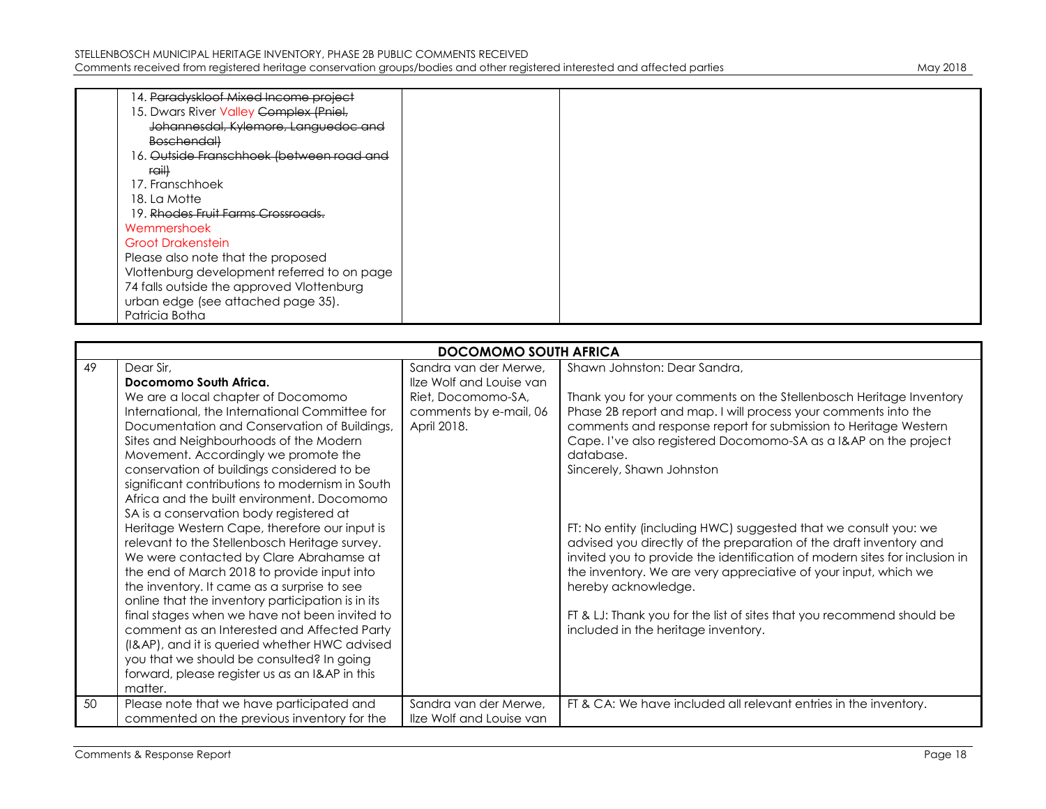| 14. <del>Paradyskloof Mixed Income project</del>     |  |
|------------------------------------------------------|--|
| 15. Dwars River Valley Complex (Pniel,               |  |
| Johannesdal, Kylemore, Languedoc and                 |  |
| <b>Boschendall</b>                                   |  |
| 16. <del>Outside Franschhoek (between road and</del> |  |
| rail)                                                |  |
| 17. Franschhoek                                      |  |
| 18. La Motte                                         |  |
| 19. Rhodes Fruit Farms Crossroads.                   |  |
| Wemmershoek                                          |  |
| <b>Groot Drakenstein</b>                             |  |
| Please also note that the proposed                   |  |
| Vlottenburg development referred to on page          |  |
| 74 falls outside the approved Vlottenburg            |  |
| urban edge (see attached page 35).                   |  |
| Patricia Botha                                       |  |

|    | <b>DOCOMOMO SOUTH AFRICA</b>                      |                          |                                                                            |  |
|----|---------------------------------------------------|--------------------------|----------------------------------------------------------------------------|--|
| 49 | Dear Sir,                                         | Sandra van der Merwe,    | Shawn Johnston: Dear Sandra,                                               |  |
|    | Docomomo South Africa.                            | Ilze Wolf and Louise van |                                                                            |  |
|    | We are a local chapter of Docomomo                | Riet, Docomomo-SA,       | Thank you for your comments on the Stellenbosch Heritage Inventory         |  |
|    | International, the International Committee for    | comments by e-mail, 06   | Phase 2B report and map. I will process your comments into the             |  |
|    | Documentation and Conservation of Buildings,      | April 2018.              | comments and response report for submission to Heritage Western            |  |
|    | Sites and Neighbourhoods of the Modern            |                          | Cape. I've also registered Docomomo-SA as a I&AP on the project            |  |
|    | Movement. Accordingly we promote the              |                          | database.                                                                  |  |
|    | conservation of buildings considered to be        |                          | Sincerely, Shawn Johnston                                                  |  |
|    | significant contributions to modernism in South   |                          |                                                                            |  |
|    | Africa and the built environment. Docomomo        |                          |                                                                            |  |
|    | SA is a conservation body registered at           |                          |                                                                            |  |
|    | Heritage Western Cape, therefore our input is     |                          | FT: No entity (including HWC) suggested that we consult you: we            |  |
|    | relevant to the Stellenbosch Heritage survey.     |                          | advised you directly of the preparation of the draft inventory and         |  |
|    | We were contacted by Clare Abrahamse at           |                          | invited you to provide the identification of modern sites for inclusion in |  |
|    | the end of March 2018 to provide input into       |                          | the inventory. We are very appreciative of your input, which we            |  |
|    | the inventory. It came as a surprise to see       |                          | hereby acknowledge.                                                        |  |
|    | online that the inventory participation is in its |                          |                                                                            |  |
|    | final stages when we have not been invited to     |                          | FT & LJ: Thank you for the list of sites that you recommend should be      |  |
|    | comment as an Interested and Affected Party       |                          | included in the heritage inventory.                                        |  |
|    | (I&AP), and it is queried whether HWC advised     |                          |                                                                            |  |
|    | you that we should be consulted? In going         |                          |                                                                            |  |
|    | forward, please register us as an I&AP in this    |                          |                                                                            |  |
|    | matter.                                           |                          |                                                                            |  |
| 50 | Please note that we have participated and         | Sandra van der Merwe,    | FT & CA: We have included all relevant entries in the inventory.           |  |
|    | commented on the previous inventory for the       | Ilze Wolf and Louise van |                                                                            |  |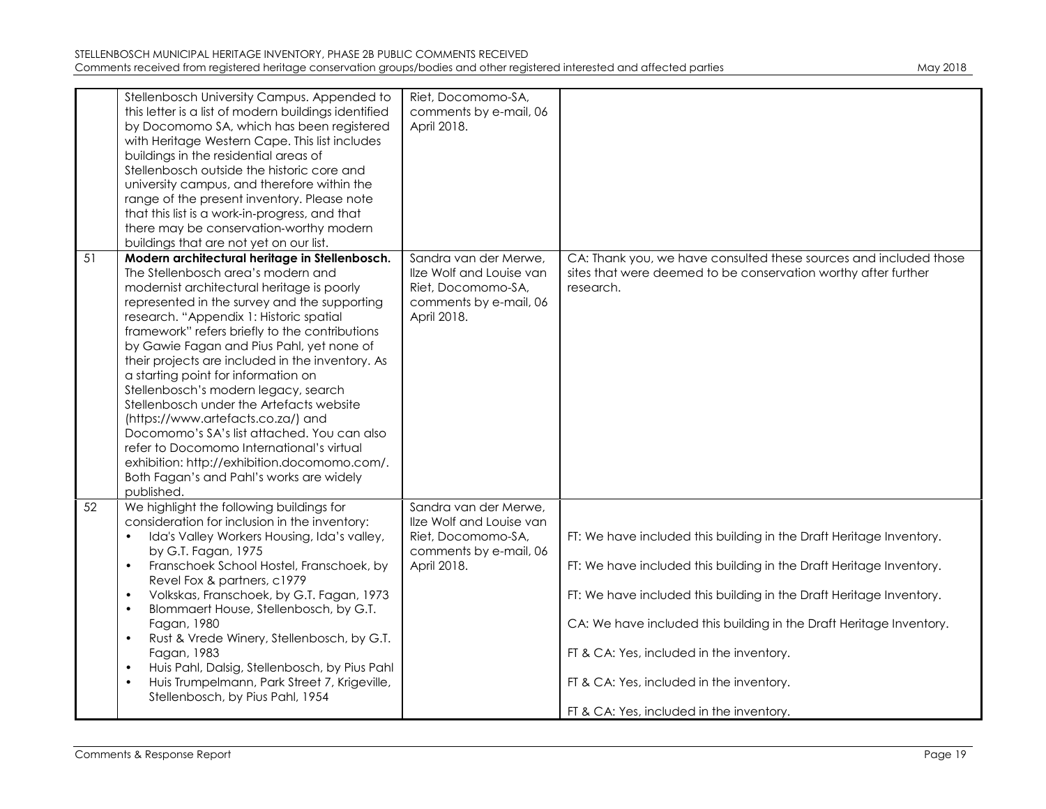|    | Stellenbosch University Campus. Appended to<br>this letter is a list of modern buildings identified<br>by Docomomo SA, which has been registered<br>with Heritage Western Cape. This list includes<br>buildings in the residential areas of<br>Stellenbosch outside the historic core and<br>university campus, and therefore within the<br>range of the present inventory. Please note<br>that this list is a work-in-progress, and that<br>there may be conservation-worthy modern<br>buildings that are not yet on our list.                                                                                                                                                                                                                         | Riet, Docomomo-SA,<br>comments by e-mail, 06<br>April 2018.                                                      |                                                                                                                                                                                                                                                                                                                                                                                                                              |
|----|---------------------------------------------------------------------------------------------------------------------------------------------------------------------------------------------------------------------------------------------------------------------------------------------------------------------------------------------------------------------------------------------------------------------------------------------------------------------------------------------------------------------------------------------------------------------------------------------------------------------------------------------------------------------------------------------------------------------------------------------------------|------------------------------------------------------------------------------------------------------------------|------------------------------------------------------------------------------------------------------------------------------------------------------------------------------------------------------------------------------------------------------------------------------------------------------------------------------------------------------------------------------------------------------------------------------|
| 51 | Modern architectural heritage in Stellenbosch.<br>The Stellenbosch area's modern and<br>modernist architectural heritage is poorly<br>represented in the survey and the supporting<br>research. "Appendix 1: Historic spatial<br>framework" refers briefly to the contributions<br>by Gawie Fagan and Pius Pahl, yet none of<br>their projects are included in the inventory. As<br>a starting point for information on<br>Stellenbosch's modern legacy, search<br>Stellenbosch under the Artefacts website<br>(https://www.artefacts.co.za/) and<br>Docomomo's SA's list attached. You can also<br>refer to Docomomo International's virtual<br>exhibition: http://exhibition.docomomo.com/.<br>Both Fagan's and Pahl's works are widely<br>published. | Sandra van der Merwe,<br>Ilze Wolf and Louise van<br>Riet, Docomomo-SA,<br>comments by e-mail, 06<br>April 2018. | CA: Thank you, we have consulted these sources and included those<br>sites that were deemed to be conservation worthy after further<br>research.                                                                                                                                                                                                                                                                             |
| 52 | We highlight the following buildings for<br>consideration for inclusion in the inventory:<br>Ida's Valley Workers Housing, Ida's valley,<br>$\bullet$<br>by G.T. Fagan, 1975<br>Franschoek School Hostel, Franschoek, by<br>$\bullet$<br>Revel Fox & partners, c1979<br>Volkskas, Franschoek, by G.T. Fagan, 1973<br>$\bullet$<br>Blommaert House, Stellenbosch, by G.T.<br>$\bullet$<br>Fagan, 1980<br>Rust & Vrede Winery, Stellenbosch, by G.T.<br>$\bullet$<br>Fagan, 1983<br>Huis Pahl, Dalsig, Stellenbosch, by Pius Pahl<br>$\bullet$<br>Huis Trumpelmann, Park Street 7, Krigeville,<br>$\bullet$<br>Stellenbosch, by Pius Pahl, 1954                                                                                                           | Sandra van der Merwe,<br>Ilze Wolf and Louise van<br>Riet, Docomomo-SA,<br>comments by e-mail, 06<br>April 2018. | FT: We have included this building in the Draft Heritage Inventory.<br>FT: We have included this building in the Draft Heritage Inventory.<br>FT: We have included this building in the Draft Heritage Inventory.<br>CA: We have included this building in the Draft Heritage Inventory.<br>FT & CA: Yes, included in the inventory.<br>FT & CA: Yes, included in the inventory.<br>FT & CA: Yes, included in the inventory. |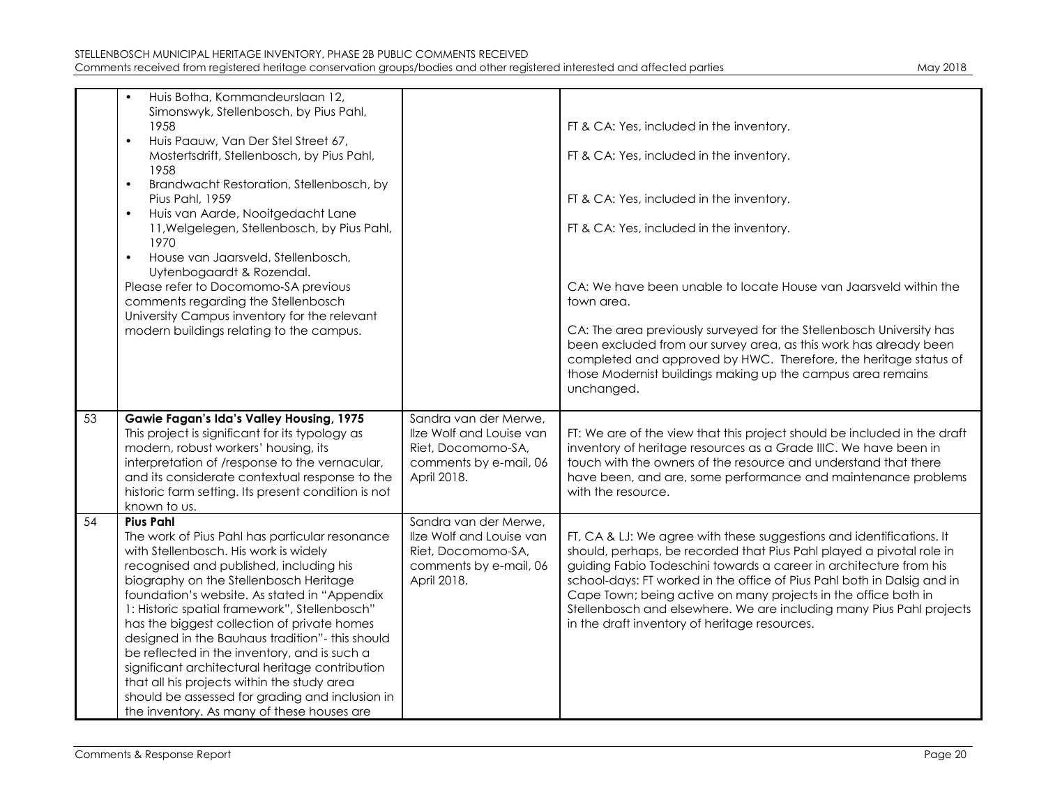|    | Huis Botha, Kommandeurslaan 12,<br>$\bullet$<br>Simonswyk, Stellenbosch, by Pius Pahl,<br>1958<br>Huis Paauw, Van Der Stel Street 67,<br>$\bullet$<br>Mostertsdrift, Stellenbosch, by Pius Pahl,<br>1958<br>Brandwacht Restoration, Stellenbosch, by<br>$\bullet$<br>Pius Pahl, 1959<br>Huis van Aarde, Nooitgedacht Lane<br>$\bullet$<br>11, Welgelegen, Stellenbosch, by Pius Pahl,<br>1970<br>House van Jaarsveld, Stellenbosch,<br>$\bullet$<br>Uytenbogaardt & Rozendal.<br>Please refer to Docomomo-SA previous<br>comments regarding the Stellenbosch<br>University Campus inventory for the relevant                                           |                                                                                                                  | FT & CA: Yes, included in the inventory.<br>FT & CA: Yes, included in the inventory.<br>FT & CA: Yes, included in the inventory.<br>FT & CA: Yes, included in the inventory.<br>CA: We have been unable to locate House van Jaarsveld within the<br>town area.                                                                                                                                                                                                                           |
|----|--------------------------------------------------------------------------------------------------------------------------------------------------------------------------------------------------------------------------------------------------------------------------------------------------------------------------------------------------------------------------------------------------------------------------------------------------------------------------------------------------------------------------------------------------------------------------------------------------------------------------------------------------------|------------------------------------------------------------------------------------------------------------------|------------------------------------------------------------------------------------------------------------------------------------------------------------------------------------------------------------------------------------------------------------------------------------------------------------------------------------------------------------------------------------------------------------------------------------------------------------------------------------------|
|    | modern buildings relating to the campus.                                                                                                                                                                                                                                                                                                                                                                                                                                                                                                                                                                                                               |                                                                                                                  | CA: The area previously surveyed for the Stellenbosch University has<br>been excluded from our survey area, as this work has already been<br>completed and approved by HWC. Therefore, the heritage status of<br>those Modernist buildings making up the campus area remains<br>unchanged.                                                                                                                                                                                               |
| 53 | Gawie Fagan's Ida's Valley Housing, 1975<br>This project is significant for its typology as<br>modern, robust workers' housing, its<br>interpretation of /response to the vernacular,<br>and its considerate contextual response to the<br>historic farm setting. Its present condition is not<br>known to us.                                                                                                                                                                                                                                                                                                                                         | Sandra van der Merwe,<br>Ilze Wolf and Louise van<br>Riet, Docomomo-SA,<br>comments by e-mail, 06<br>April 2018. | FT: We are of the view that this project should be included in the draft<br>inventory of heritage resources as a Grade IIIC. We have been in<br>touch with the owners of the resource and understand that there<br>have been, and are, some performance and maintenance problems<br>with the resource.                                                                                                                                                                                   |
| 54 | <b>Pius Pahl</b><br>The work of Pius Pahl has particular resonance<br>with Stellenbosch. His work is widely<br>recognised and published, including his<br>biography on the Stellenbosch Heritage<br>foundation's website. As stated in "Appendix<br>1: Historic spatial framework", Stellenbosch"<br>has the biggest collection of private homes<br>designed in the Bauhaus tradition"- this should<br>be reflected in the inventory, and is such a<br>significant architectural heritage contribution<br>that all his projects within the study area<br>should be assessed for grading and inclusion in<br>the inventory. As many of these houses are | Sandra van der Merwe,<br>Ilze Wolf and Louise van<br>Riet, Docomomo-SA,<br>comments by e-mail, 06<br>April 2018. | FT, CA & LJ: We agree with these suggestions and identifications. It<br>should, perhaps, be recorded that Pius Pahl played a pivotal role in<br>guiding Fabio Todeschini towards a career in architecture from his<br>school-days: FT worked in the office of Pius Pahl both in Dalsig and in<br>Cape Town; being active on many projects in the office both in<br>Stellenbosch and elsewhere. We are including many Pius Pahl projects<br>in the draft inventory of heritage resources. |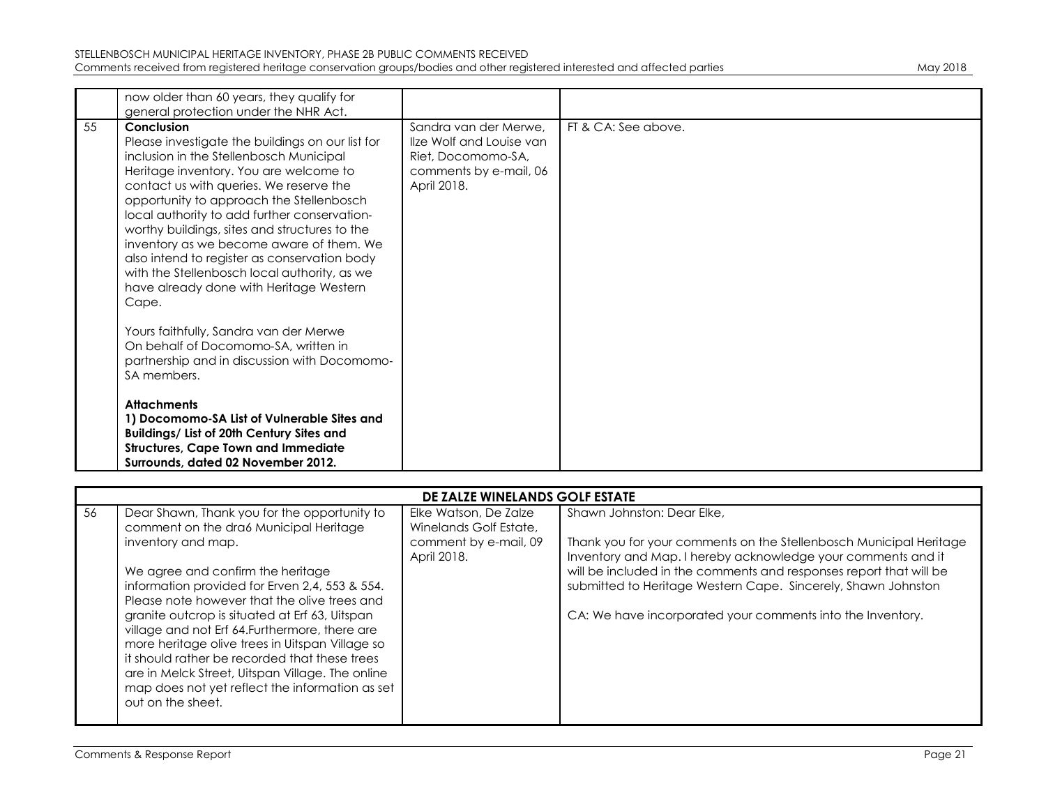|    | now older than 60 years, they qualify for<br>general protection under the NHR Act.                                                                                                                                                                                                                                                                                                                                                                                                                                                          |                                                                                                                  |                     |
|----|---------------------------------------------------------------------------------------------------------------------------------------------------------------------------------------------------------------------------------------------------------------------------------------------------------------------------------------------------------------------------------------------------------------------------------------------------------------------------------------------------------------------------------------------|------------------------------------------------------------------------------------------------------------------|---------------------|
| 55 | Conclusion<br>Please investigate the buildings on our list for<br>inclusion in the Stellenbosch Municipal<br>Heritage inventory. You are welcome to<br>contact us with queries. We reserve the<br>opportunity to approach the Stellenbosch<br>local authority to add further conservation-<br>worthy buildings, sites and structures to the<br>inventory as we become aware of them. We<br>also intend to register as conservation body<br>with the Stellenbosch local authority, as we<br>have already done with Heritage Western<br>Cape. | Sandra van der Merwe.<br>Ilze Wolf and Louise van<br>Riet, Docomomo-SA,<br>comments by e-mail, 06<br>April 2018. | FT & CA: See above. |
|    | Yours faithfully, Sandra van der Merwe<br>On behalf of Docomomo-SA, written in<br>partnership and in discussion with Docomomo-<br>SA members.                                                                                                                                                                                                                                                                                                                                                                                               |                                                                                                                  |                     |
|    | <b>Attachments</b><br>1) Docomomo-SA List of Vulnerable Sites and<br>Buildings/ List of 20th Century Sites and<br><b>Structures, Cape Town and Immediate</b><br>Surrounds, dated 02 November 2012.                                                                                                                                                                                                                                                                                                                                          |                                                                                                                  |                     |

|    | DE ZALZE WINELANDS GOLF ESTATE                                                                                                                       |                                                 |                                                                                                                                     |  |
|----|------------------------------------------------------------------------------------------------------------------------------------------------------|-------------------------------------------------|-------------------------------------------------------------------------------------------------------------------------------------|--|
| 56 | Dear Shawn, Thank you for the opportunity to<br>comment on the dra6 Municipal Heritage                                                               | Elke Watson, De Zalze<br>Winelands Golf Estate, | Shawn Johnston: Dear Elke,                                                                                                          |  |
|    | inventory and map.                                                                                                                                   | comment by e-mail, 09<br>April 2018.            | Thank you for your comments on the Stellenbosch Municipal Heritage<br>Inventory and Map. I hereby acknowledge your comments and it  |  |
|    | We agree and confirm the heritage<br>information provided for Erven 2,4, 553 & 554.                                                                  |                                                 | will be included in the comments and responses report that will be<br>submitted to Heritage Western Cape. Sincerely, Shawn Johnston |  |
|    | Please note however that the olive trees and                                                                                                         |                                                 |                                                                                                                                     |  |
|    | granite outcrop is situated at Erf 63, Uitspan<br>village and not Erf 64. Furthermore, there are<br>more heritage olive trees in Uitspan Village so  |                                                 | CA: We have incorporated your comments into the Inventory.                                                                          |  |
|    | it should rather be recorded that these trees<br>are in Melck Street, Uitspan Village. The online<br>map does not yet reflect the information as set |                                                 |                                                                                                                                     |  |
|    | out on the sheet.                                                                                                                                    |                                                 |                                                                                                                                     |  |